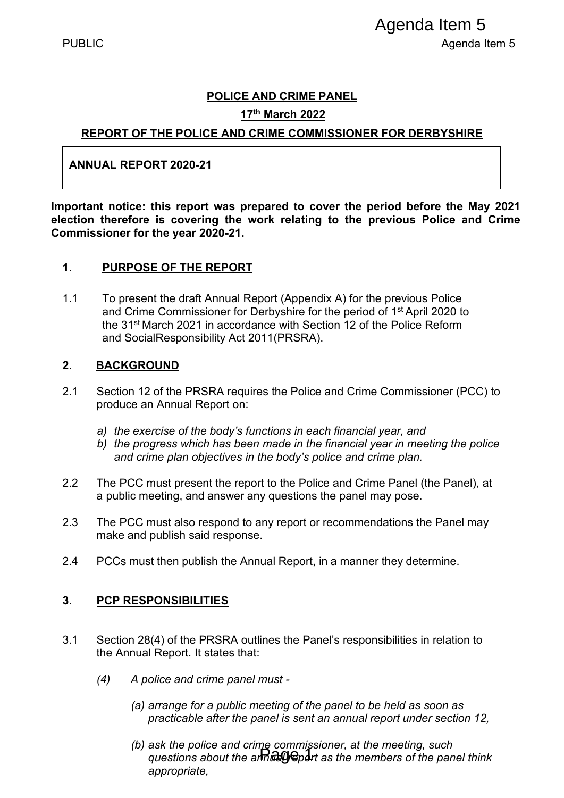#### **POLICE AND CRIME PANEL**

#### **17th March 2022**

#### **REPORT OF THE POLICE AND CRIME COMMISSIONER FOR DERBYSHIRE**

#### **ANNUAL REPORT 2020-21**

**Important notice: this report was prepared to cover the period before the May 2021 election therefore is covering the work relating to the previous Police and Crime Commissioner for the year 2020-21.** 

#### **1. PURPOSE OF THE REPORT**

1.1 To present the draft Annual Report (Appendix A) for the previous Police and Crime Commissioner for Derbyshire for the period of 1<sup>st</sup> April 2020 to the 31st March 2021 in accordance with Section 12 of the Police Reform and SocialResponsibility Act 2011(PRSRA). Page 1 Agenda Item 5

#### **2. BACKGROUND**

- 2.1 Section 12 of the PRSRA requires the Police and Crime Commissioner (PCC) to produce an Annual Report on:
	- *a) the exercise of the body's functions in each financial year, and*
	- *b) the progress which has been made in the financial year in meeting the police and crime plan objectives in the body's police and crime plan.*
- 2.2 The PCC must present the report to the Police and Crime Panel (the Panel), at a public meeting, and answer any questions the panel may pose.
- 2.3 The PCC must also respond to any report or recommendations the Panel may make and publish said response.
- 2.4 PCCs must then publish the Annual Report, in a manner they determine.

#### **3. PCP RESPONSIBILITIES**

- 3.1 Section 28(4) of the PRSRA outlines the Panel's responsibilities in relation to the Annual Report. It states that:
	- *(4) A police and crime panel must -*
		- *(a) arrange for a public meeting of the panel to be held as soon as practicable after the panel is sent an annual report under section 12,*
		- *(b) ask the police and crime commissioner, at the meeting, such questions about the annual report as the members of the panel think appropriate,*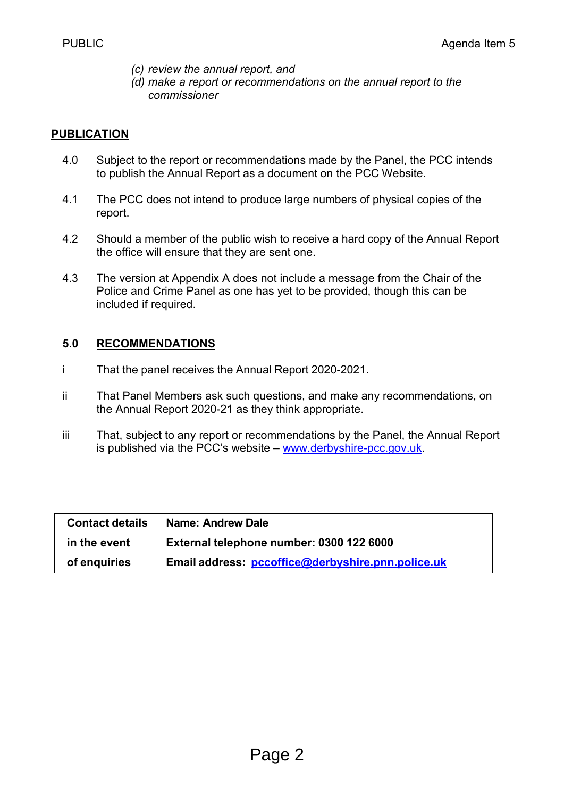- *(c) review the annual report, and*
- *(d) make a report or recommendations on the annual report to the commissioner*

#### **PUBLICATION**

- 4.0 Subject to the report or recommendations made by the Panel, the PCC intends to publish the Annual Report as a document on the PCC Website.
- 4.1 The PCC does not intend to produce large numbers of physical copies of the report.
- 4.2 Should a member of the public wish to receive a hard copy of the Annual Report the office will ensure that they are sent one.
- 4.3 The version at Appendix A does not include a message from the Chair of the Police and Crime Panel as one has yet to be provided, though this can be included if required.

#### **5.0 RECOMMENDATIONS**

- i That the panel receives the Annual Report 2020-2021.
- ii That Panel Members ask such questions, and make any recommendations, on the Annual Report 2020-21 as they think appropriate.
- iii That, subject to any report or recommendations by the Panel, the Annual Report is published via the PCC's website – [www.derbyshire-pcc.gov.uk.](http://www.derbyshire-pcc.gov.uk/)

| <b>Contact details</b> | <b>Name: Andrew Dale</b>                          |
|------------------------|---------------------------------------------------|
| in the event           | External telephone number: 0300 122 6000          |
| of enquiries           | Email address: pccoffice@derbyshire.pnn.police.uk |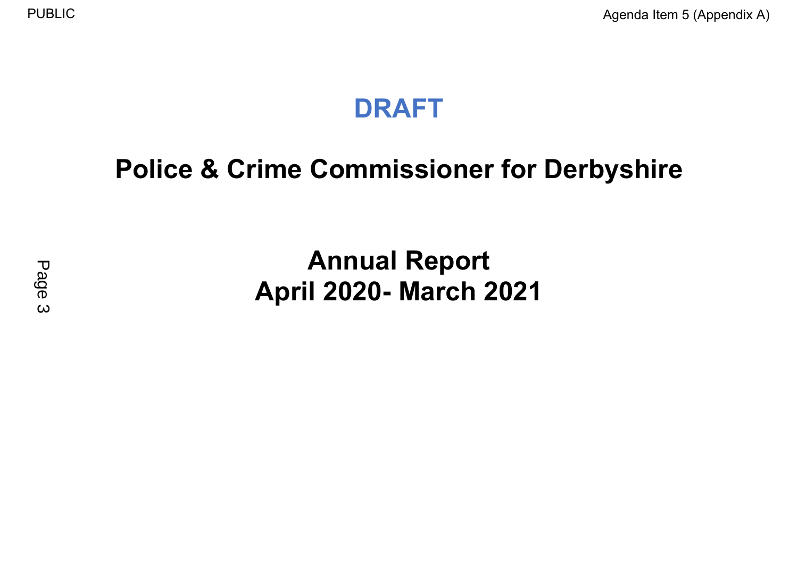## **DRAFT**

# **Police & Crime Commissioner for Derbyshire**

# **Annual Report April 2020- March 2021**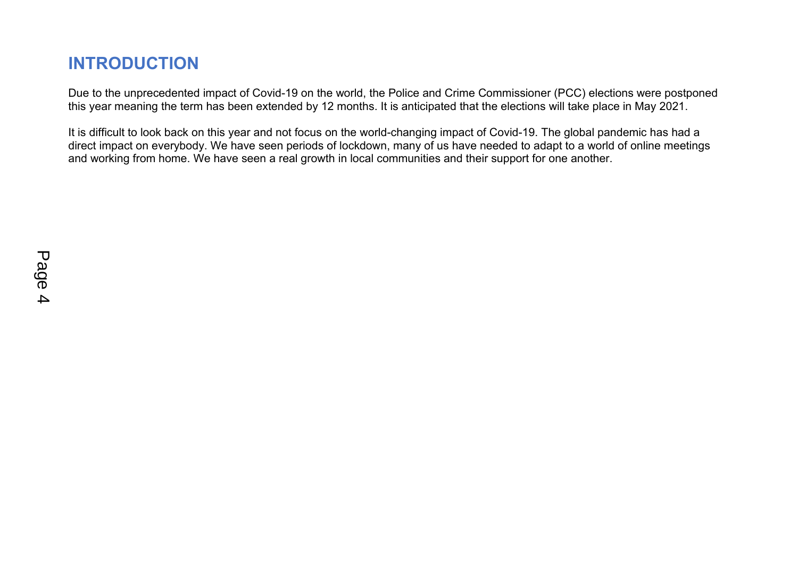### **INTRODUCTION**

Due to the unprecedented impact of Covid-19 on the world, the Police and Crime Commissioner (PCC) elections were postponed this year meaning the term has been extended by 12 months. It is anticipated that the elections will take place in May 2021.

It is difficult to look back on this year and not focus on the world-changing impact of Covid-19. The global pandemic has had a direct impact on everybody. We have seen periods of lockdown, many of us have needed to adapt to a world of online meetings and working from home. We have seen a real growth in local communities and their support for one another.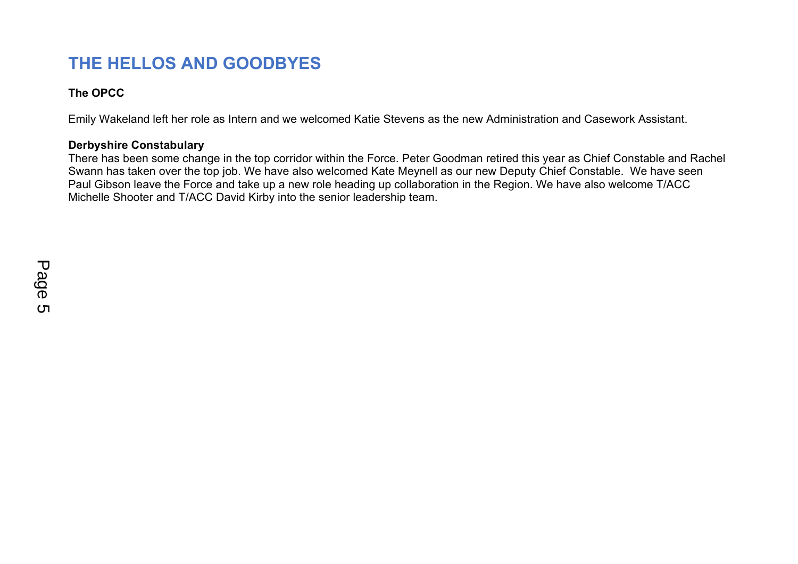### **THE HELLOS AND GOODBYES**

#### **The OPCC**

Emily Wakeland left her role as Intern and we welcomed Katie Stevens as the new Administration and Casework Assistant.

#### **Derbyshire Constabulary**

There has been some change in the top corridor within the Force. Peter Goodman retired this year as Chief Constable and Rachel Swann has taken over the top job. We have also welcomed Kate Meynell as our new Deputy Chief Constable. We have seen Paul Gibson leave the Force and take up a new role heading up collaboration in the Region. We have also welcome T/ACC Michelle Shooter and T/ACC David Kirby into the senior leadership team.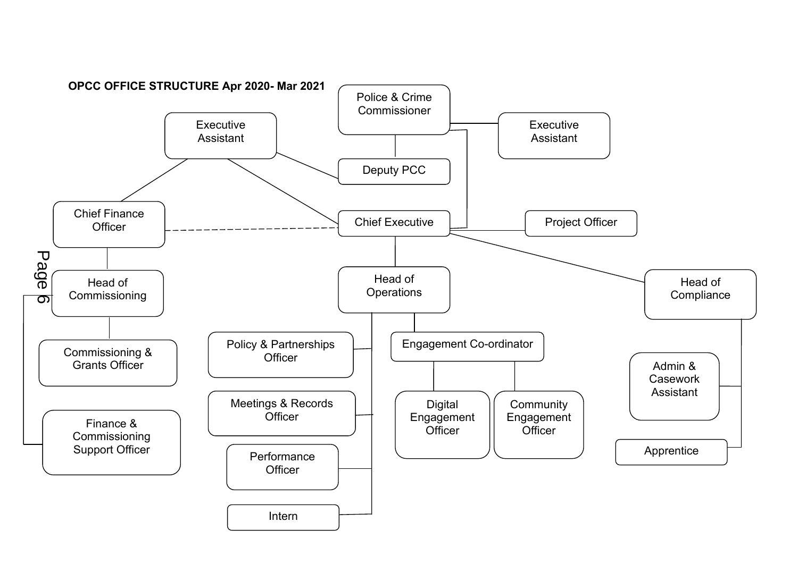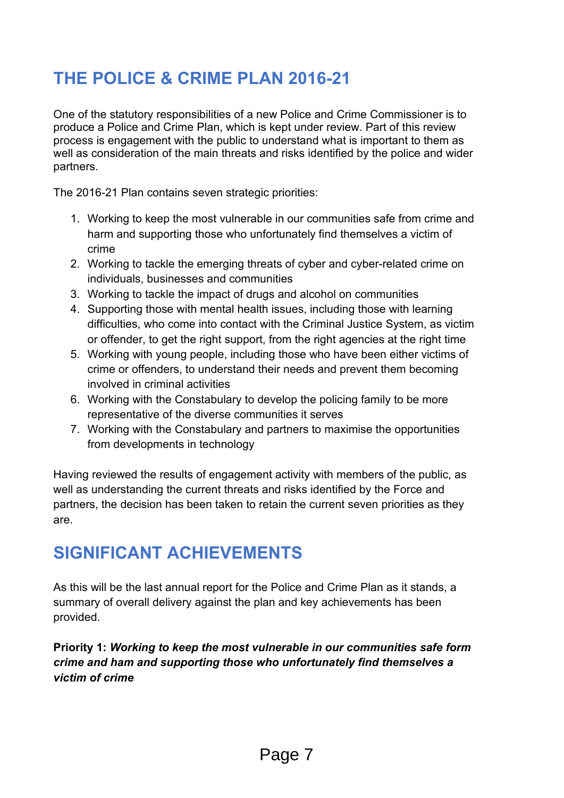## **THE POLICE & CRIME PLAN 2016-21**

One of the statutory responsibilities of a new Police and Crime Commissioner is to produce a Police and Crime Plan, which is kept under review. Part of this review process is engagement with the public to understand what is important to them as well as consideration of the main threats and risks identified by the police and wider partners.

The 2016-21 Plan contains seven strategic priorities:

- 1. Working to keep the most vulnerable in our communities safe from crime and harm and supporting those who unfortunately find themselves a victim of crime
- 2. Working to tackle the emerging threats of cyber and cyber-related crime on individuals, businesses and communities
- 3. Working to tackle the impact of drugs and alcohol on communities
- 4. Supporting those with mental health issues, including those with learning difficulties, who come into contact with the Criminal Justice System, as victim or offender, to get the right support, from the right agencies at the right time
- 5. Working with young people, including those who have been either victims of crime or offenders, to understand their needs and prevent them becoming involved in criminal activities
- 6. Working with the Constabulary to develop the policing family to be more representative of the diverse communities it serves
- 7. Working with the Constabulary and partners to maximise the opportunities from developments in technology

Having reviewed the results of engagement activity with members of the public, as well as understanding the current threats and risks identified by the Force and partners, the decision has been taken to retain the current seven priorities as they are.

### **SIGNIFICANT ACHIEVEMENTS**

As this will be the last annual report for the Police and Crime Plan as it stands, a summary of overall delivery against the plan and key achievements has been provided.

**Priority 1:** *Working to keep the most vulnerable in our communities safe form crime and ham and supporting those who unfortunately find themselves a victim of crime*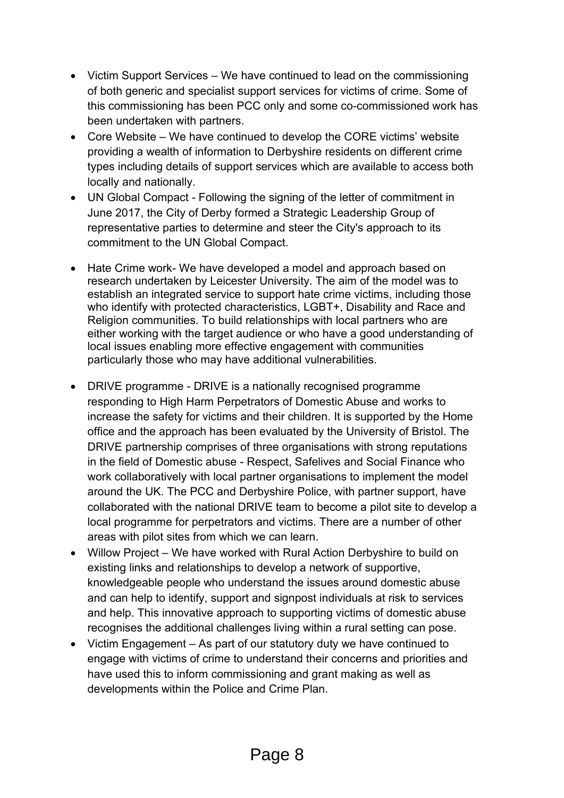- Victim Support Services We have continued to lead on the commissioning of both generic and specialist support services for victims of crime. Some of this commissioning has been PCC only and some co-commissioned work has been undertaken with partners.
- Core Website We have continued to develop the CORE victims' website providing a wealth of information to Derbyshire residents on different crime types including details of support services which are available to access both locally and nationally.
- UN Global Compact Following the signing of the letter of commitment in June 2017, the City of Derby formed a Strategic Leadership Group of representative parties to determine and steer the City's approach to its commitment to the UN Global Compact.
- Hate Crime work- We have developed a model and approach based on research undertaken by Leicester University. The aim of the model was to establish an integrated service to support hate crime victims, including those who identify with protected characteristics, LGBT+, Disability and Race and Religion communities. To build relationships with local partners who are either working with the target audience or who have a good understanding of local issues enabling more effective engagement with communities particularly those who may have additional vulnerabilities.
- DRIVE programme DRIVE is a nationally recognised programme responding to High Harm Perpetrators of Domestic Abuse and works to increase the safety for victims and their children. It is supported by the Home office and the approach has been evaluated by the University of Bristol. The DRIVE partnership comprises of three organisations with strong reputations in the field of Domestic abuse - Respect, Safelives and Social Finance who work collaboratively with local partner organisations to implement the model around the UK. The PCC and Derbyshire Police, with partner support, have collaborated with the national DRIVE team to become a pilot site to develop a local programme for perpetrators and victims. There are a number of other areas with pilot sites from which we can learn.
- Willow Project We have worked with Rural Action Derbyshire to build on existing links and relationships to develop a network of supportive, knowledgeable people who understand the issues around domestic abuse and can help to identify, support and signpost individuals at risk to services and help. This innovative approach to supporting victims of domestic abuse recognises the additional challenges living within a rural setting can pose.
- Victim Engagement As part of our statutory duty we have continued to engage with victims of crime to understand their concerns and priorities and have used this to inform commissioning and grant making as well as developments within the Police and Crime Plan.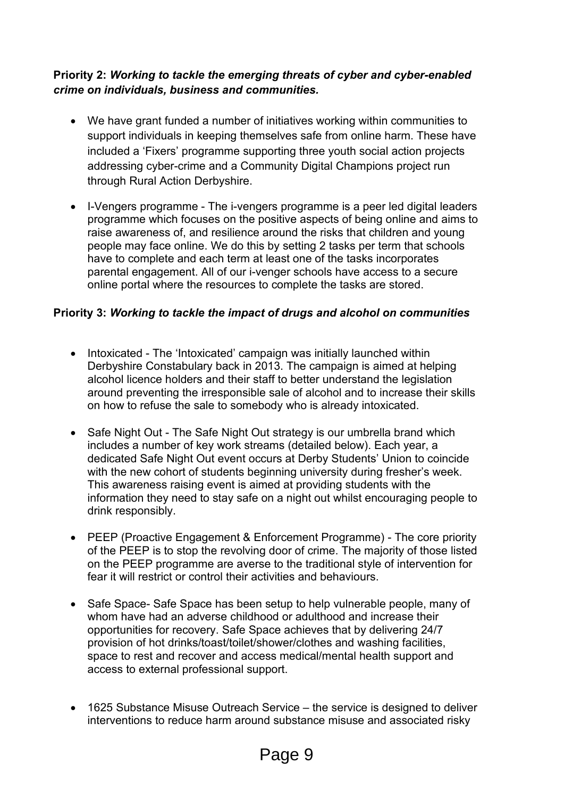#### **Priority 2:** *Working to tackle the emerging threats of cyber and cyber-enabled crime on individuals, business and communities.*

- We have grant funded a number of initiatives working within communities to support individuals in keeping themselves safe from online harm. These have included a 'Fixers' programme supporting three youth social action projects addressing cyber-crime and a Community Digital Champions project run through Rural Action Derbyshire.
- I-Vengers programme The i-vengers programme is a peer led digital leaders programme which focuses on the positive aspects of being online and aims to raise awareness of, and resilience around the risks that children and young people may face online. We do this by setting 2 tasks per term that schools have to complete and each term at least one of the tasks incorporates parental engagement. All of our i-venger schools have access to a secure online portal where the resources to complete the tasks are stored.

#### **Priority 3:** *Working to tackle the impact of drugs and alcohol on communities*

- Intoxicated The 'Intoxicated' campaign was initially launched within Derbyshire Constabulary back in 2013. The campaign is aimed at helping alcohol licence holders and their staff to better understand the legislation around preventing the irresponsible sale of alcohol and to increase their skills on how to refuse the sale to somebody who is already intoxicated.
- Safe Night Out The Safe Night Out strategy is our umbrella brand which includes a number of key work streams (detailed below). Each year, a dedicated Safe Night Out event occurs at Derby Students' Union to coincide with the new cohort of students beginning university during fresher's week. This awareness raising event is aimed at providing students with the information they need to stay safe on a night out whilst encouraging people to drink responsibly.
- PEEP (Proactive Engagement & Enforcement Programme) The core priority of the PEEP is to stop the revolving door of crime. The majority of those listed on the PEEP programme are averse to the traditional style of intervention for fear it will restrict or control their activities and behaviours.
- Safe Space- Safe Space has been setup to help vulnerable people, many of whom have had an adverse childhood or adulthood and increase their opportunities for recovery. Safe Space achieves that by delivering 24/7 provision of hot drinks/toast/toilet/shower/clothes and washing facilities, space to rest and recover and access medical/mental health support and access to external professional support.
- 1625 Substance Misuse Outreach Service the service is designed to deliver interventions to reduce harm around substance misuse and associated risky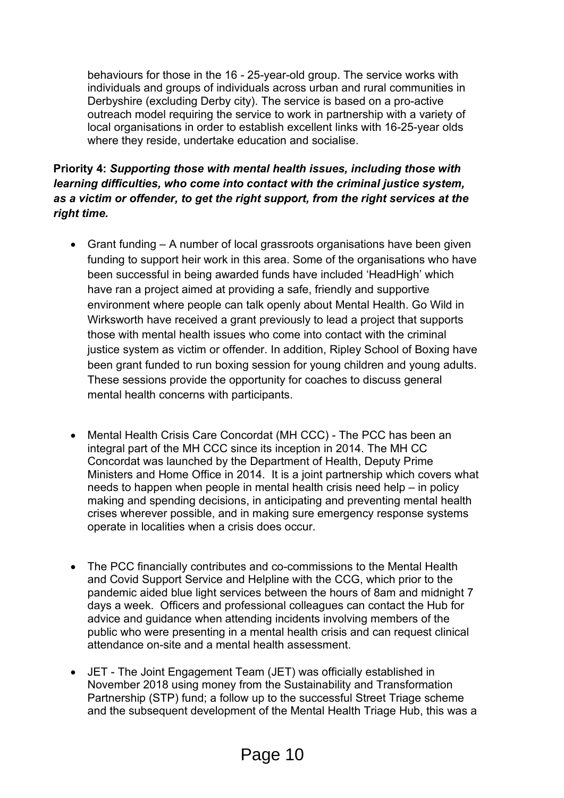behaviours for those in the 16 - 25-year-old group. The service works with individuals and groups of individuals across urban and rural communities in Derbyshire (excluding Derby city). The service is based on a pro-active outreach model requiring the service to work in partnership with a variety of local organisations in order to establish excellent links with 16-25-year olds where they reside, undertake education and socialise.

#### **Priority 4:** *Supporting those with mental health issues, including those with learning difficulties, who come into contact with the criminal justice system, as a victim or offender, to get the right support, from the right services at the right time.*

- Grant funding A number of local grassroots organisations have been given funding to support heir work in this area. Some of the organisations who have been successful in being awarded funds have included 'HeadHigh' which have ran a project aimed at providing a safe, friendly and supportive environment where people can talk openly about Mental Health. Go Wild in Wirksworth have received a grant previously to lead a project that supports those with mental health issues who come into contact with the criminal justice system as victim or offender. In addition, Ripley School of Boxing have been grant funded to run boxing session for young children and young adults. These sessions provide the opportunity for coaches to discuss general mental health concerns with participants.
- Mental Health Crisis Care Concordat (MH CCC) The PCC has been an integral part of the MH CCC since its inception in 2014. The MH CC Concordat was launched by the Department of Health, Deputy Prime Ministers and Home Office in 2014. It is a joint partnership which covers what needs to happen when people in mental health crisis need help – in policy making and spending decisions, in anticipating and preventing mental health crises wherever possible, and in making sure emergency response systems operate in localities when a crisis does occur.
- The PCC financially contributes and co-commissions to the Mental Health and Covid Support Service and Helpline with the CCG, which prior to the pandemic aided blue light services between the hours of 8am and midnight 7 days a week. Officers and professional colleagues can contact the Hub for advice and guidance when attending incidents involving members of the public who were presenting in a mental health crisis and can request clinical attendance on-site and a mental health assessment.
- JET The Joint Engagement Team (JET) was officially established in November 2018 using money from the Sustainability and Transformation Partnership (STP) fund; a follow up to the successful Street Triage scheme and the subsequent development of the Mental Health Triage Hub, this was a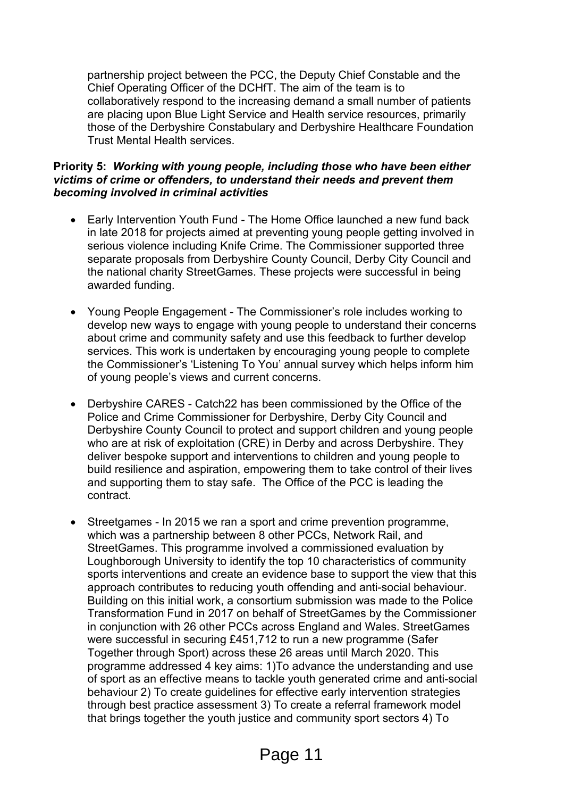partnership project between the PCC, the Deputy Chief Constable and the Chief Operating Officer of the DCHfT. The aim of the team is to collaboratively respond to the increasing demand a small number of patients are placing upon Blue Light Service and Health service resources, primarily those of the Derbyshire Constabulary and Derbyshire Healthcare Foundation Trust Mental Health services.

#### **Priority 5:** *Working with young people, including those who have been either victims of crime or offenders, to understand their needs and prevent them becoming involved in criminal activities*

- Early Intervention Youth Fund The Home Office launched a new fund back in late 2018 for projects aimed at preventing young people getting involved in serious violence including Knife Crime. The Commissioner supported three separate proposals from Derbyshire County Council, Derby City Council and the national charity StreetGames. These projects were successful in being awarded funding.
- Young People Engagement The Commissioner's role includes working to develop new ways to engage with young people to understand their concerns about crime and community safety and use this feedback to further develop services. This work is undertaken by encouraging young people to complete the Commissioner's 'Listening To You' annual survey which helps inform him of young people's views and current concerns.
- Derbyshire CARES Catch22 has been commissioned by the Office of the Police and Crime Commissioner for Derbyshire, Derby City Council and Derbyshire County Council to protect and support children and young people who are at risk of exploitation (CRE) in Derby and across Derbyshire. They deliver bespoke support and interventions to children and young people to build resilience and aspiration, empowering them to take control of their lives and supporting them to stay safe. The Office of the PCC is leading the contract.
- Streetgames In 2015 we ran a sport and crime prevention programme, which was a partnership between 8 other PCCs, Network Rail, and StreetGames. This programme involved a commissioned evaluation by Loughborough University to identify the top 10 characteristics of community sports interventions and create an evidence base to support the view that this approach contributes to reducing youth offending and anti-social behaviour. Building on this initial work, a consortium submission was made to the Police Transformation Fund in 2017 on behalf of StreetGames by the Commissioner in conjunction with 26 other PCCs across England and Wales. StreetGames were successful in securing £451,712 to run a new programme (Safer Together through Sport) across these 26 areas until March 2020. This programme addressed 4 key aims: 1)To advance the understanding and use of sport as an effective means to tackle youth generated crime and anti-social behaviour 2) To create guidelines for effective early intervention strategies through best practice assessment 3) To create a referral framework model that brings together the youth justice and community sport sectors 4) To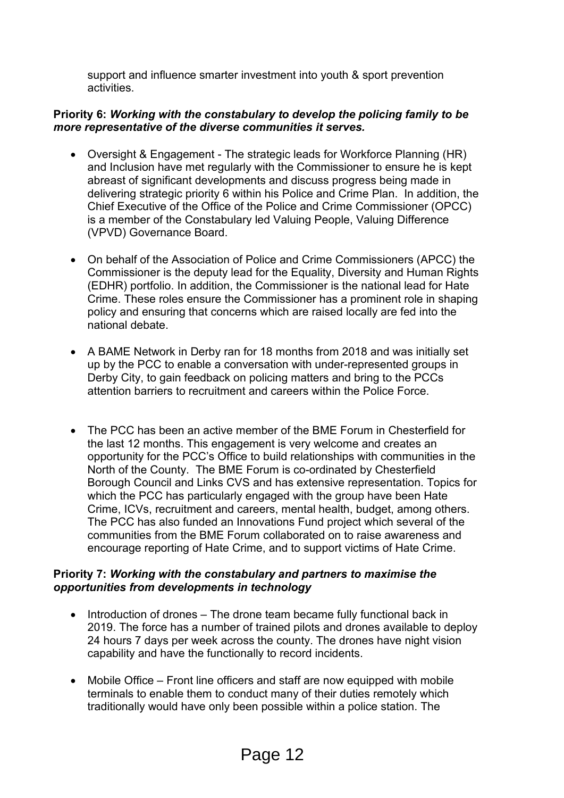support and influence smarter investment into youth & sport prevention activities.

#### **Priority 6:** *Working with the constabulary to develop the policing family to be more representative of the diverse communities it serves.*

- Oversight & Engagement The strategic leads for Workforce Planning (HR) and Inclusion have met regularly with the Commissioner to ensure he is kept abreast of significant developments and discuss progress being made in delivering strategic priority 6 within his Police and Crime Plan. In addition, the Chief Executive of the Office of the Police and Crime Commissioner (OPCC) is a member of the Constabulary led Valuing People, Valuing Difference (VPVD) Governance Board.
- On behalf of the Association of Police and Crime Commissioners (APCC) the Commissioner is the deputy lead for the Equality, Diversity and Human Rights (EDHR) portfolio. In addition, the Commissioner is the national lead for Hate Crime. These roles ensure the Commissioner has a prominent role in shaping policy and ensuring that concerns which are raised locally are fed into the national debate.
- A BAME Network in Derby ran for 18 months from 2018 and was initially set up by the PCC to enable a conversation with under-represented groups in Derby City, to gain feedback on policing matters and bring to the PCCs attention barriers to recruitment and careers within the Police Force.
- The PCC has been an active member of the BME Forum in Chesterfield for the last 12 months. This engagement is very welcome and creates an opportunity for the PCC's Office to build relationships with communities in the North of the County. The BME Forum is co-ordinated by Chesterfield Borough Council and Links CVS and has extensive representation. Topics for which the PCC has particularly engaged with the group have been Hate Crime, ICVs, recruitment and careers, mental health, budget, among others. The PCC has also funded an Innovations Fund project which several of the communities from the BME Forum collaborated on to raise awareness and encourage reporting of Hate Crime, and to support victims of Hate Crime.

#### **Priority 7:** *Working with the constabulary and partners to maximise the opportunities from developments in technology*

- Introduction of drones The drone team became fully functional back in 2019. The force has a number of trained pilots and drones available to deploy 24 hours 7 days per week across the county. The drones have night vision capability and have the functionally to record incidents.
- Mobile Office Front line officers and staff are now equipped with mobile terminals to enable them to conduct many of their duties remotely which traditionally would have only been possible within a police station. The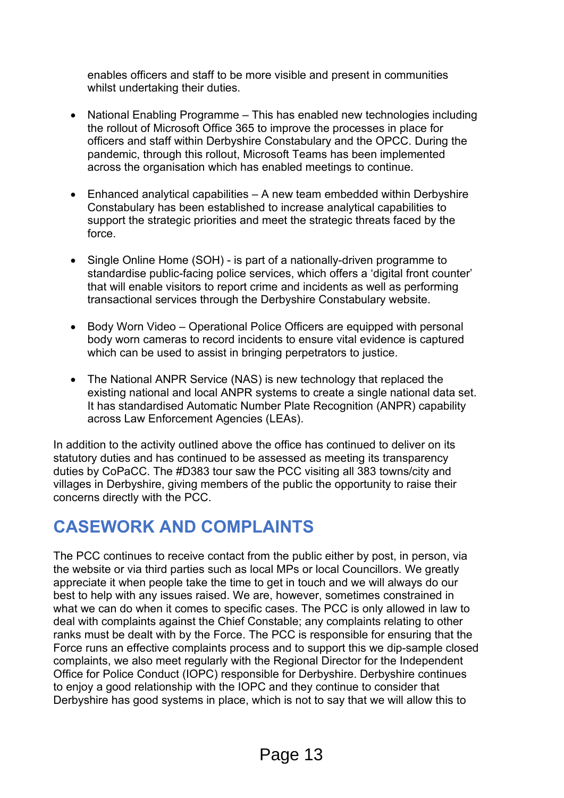enables officers and staff to be more visible and present in communities whilst undertaking their duties.

- National Enabling Programme This has enabled new technologies including the rollout of Microsoft Office 365 to improve the processes in place for officers and staff within Derbyshire Constabulary and the OPCC. During the pandemic, through this rollout, Microsoft Teams has been implemented across the organisation which has enabled meetings to continue.
- Enhanced analytical capabilities A new team embedded within Derbyshire Constabulary has been established to increase analytical capabilities to support the strategic priorities and meet the strategic threats faced by the force.
- Single Online Home (SOH) is part of a nationally-driven programme to standardise public-facing police services, which offers a 'digital front counter' that will enable visitors to report crime and incidents as well as performing transactional services through the Derbyshire Constabulary website.
- Body Worn Video Operational Police Officers are equipped with personal body worn cameras to record incidents to ensure vital evidence is captured which can be used to assist in bringing perpetrators to justice.
- The National ANPR Service (NAS) is new technology that replaced the existing national and local ANPR systems to create a single national data set. It has standardised Automatic Number Plate Recognition (ANPR) capability across Law Enforcement Agencies (LEAs).

In addition to the activity outlined above the office has continued to deliver on its statutory duties and has continued to be assessed as meeting its transparency duties by CoPaCC. The #D383 tour saw the PCC visiting all 383 towns/city and villages in Derbyshire, giving members of the public the opportunity to raise their concerns directly with the PCC.

### **CASEWORK AND COMPLAINTS**

The PCC continues to receive contact from the public either by post, in person, via the website or via third parties such as local MPs or local Councillors. We greatly appreciate it when people take the time to get in touch and we will always do our best to help with any issues raised. We are, however, sometimes constrained in what we can do when it comes to specific cases. The PCC is only allowed in law to deal with complaints against the Chief Constable; any complaints relating to other ranks must be dealt with by the Force. The PCC is responsible for ensuring that the Force runs an effective complaints process and to support this we dip-sample closed complaints, we also meet regularly with the Regional Director for the Independent Office for Police Conduct (IOPC) responsible for Derbyshire. Derbyshire continues to enjoy a good relationship with the IOPC and they continue to consider that Derbyshire has good systems in place, which is not to say that we will allow this to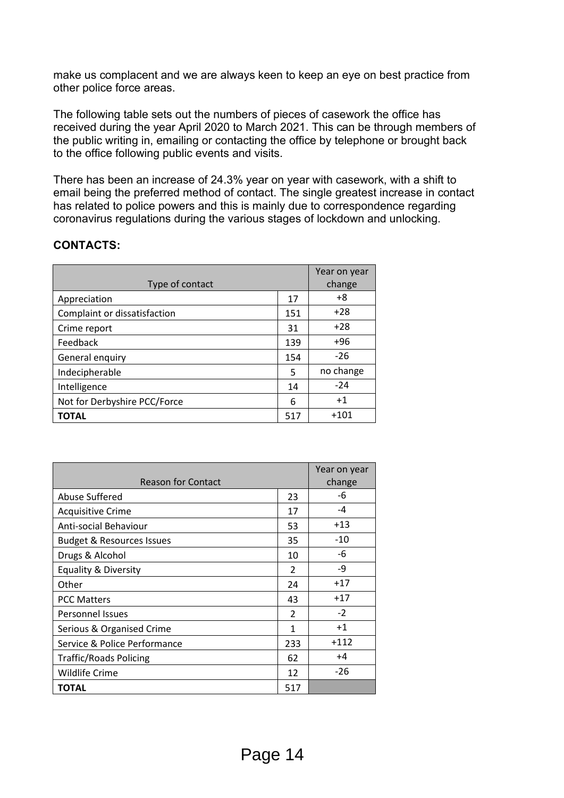make us complacent and we are always keen to keep an eye on best practice from other police force areas.

The following table sets out the numbers of pieces of casework the office has received during the year April 2020 to March 2021. This can be through members of the public writing in, emailing or contacting the office by telephone or brought back to the office following public events and visits.

There has been an increase of 24.3% year on year with casework, with a shift to email being the preferred method of contact. The single greatest increase in contact has related to police powers and this is mainly due to correspondence regarding coronavirus regulations during the various stages of lockdown and unlocking.

#### **CONTACTS:**

|                              |     | Year on year |
|------------------------------|-----|--------------|
| Type of contact              |     | change       |
| Appreciation                 | 17  | +8           |
| Complaint or dissatisfaction | 151 | $+28$        |
| Crime report                 | 31  | $+28$        |
| Feedback                     | 139 | +96          |
| General enquiry              | 154 | $-26$        |
| Indecipherable               | 5   | no change    |
| Intelligence                 | 14  | $-24$        |
| Not for Derbyshire PCC/Force | 6   | $+1$         |
| TOTAL                        | 517 | +101         |

| <b>Reason for Contact</b>            |                          | Year on year<br>change |
|--------------------------------------|--------------------------|------------------------|
| Abuse Suffered                       | 23                       | -6                     |
| <b>Acquisitive Crime</b>             | 17                       | -4                     |
| Anti-social Behaviour                | 53                       | $+13$                  |
| <b>Budget &amp; Resources Issues</b> | 35                       | -10                    |
| Drugs & Alcohol                      | 10                       | -6                     |
| <b>Equality &amp; Diversity</b>      | $\mathfrak{p}$           | -9                     |
| Other                                | 24                       | $+17$                  |
| <b>PCC Matters</b>                   | 43                       | $+17$                  |
| <b>Personnel Issues</b>              | $\overline{\phantom{a}}$ | $-2$                   |
| Serious & Organised Crime            | 1                        | $+1$                   |
| Service & Police Performance         | 233                      | $+112$                 |
| <b>Traffic/Roads Policing</b>        | 62                       | +4                     |
| <b>Wildlife Crime</b>                | 12                       | -26                    |
| TOTAL                                | 517                      |                        |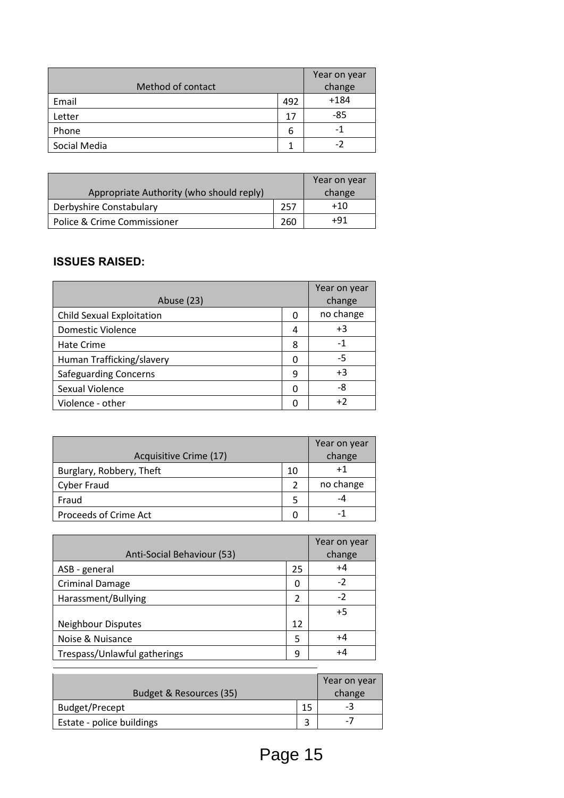| Method of contact |     | Year on year<br>change |
|-------------------|-----|------------------------|
| Email             | 492 | $+184$                 |
| Letter            | 17  | -85                    |
| Phone             | 6   | - 1                    |
| Social Media      |     | -2                     |

|                                          |     | Year on year |
|------------------------------------------|-----|--------------|
| Appropriate Authority (who should reply) |     | change       |
| Derbyshire Constabulary                  | 257 | +10          |
| Police & Crime Commissioner              | 260 | +91          |

### **ISSUES RAISED:**

| Abuse (23)                       |   | Year on year<br>change |
|----------------------------------|---|------------------------|
| <b>Child Sexual Exploitation</b> | 0 | no change              |
| <b>Domestic Violence</b>         | 4 | +3                     |
| Hate Crime                       | 8 | -1                     |
| Human Trafficking/slavery        | 0 | -5                     |
| <b>Safeguarding Concerns</b>     | 9 | $+3$                   |
| Sexual Violence                  | ŋ | -8                     |
| Violence - other                 | n | +2                     |

| Acquisitive Crime (17)   |               | Year on year<br>change |
|--------------------------|---------------|------------------------|
| Burglary, Robbery, Theft | 10            |                        |
| <b>Cyber Fraud</b>       | $\mathcal{P}$ | no change              |
| Fraud                    | 5             | -4                     |
| Proceeds of Crime Act    |               |                        |

| Anti-Social Behaviour (53)   |    | Year on year<br>change |
|------------------------------|----|------------------------|
| ASB - general                | 25 | $+4$                   |
| <b>Criminal Damage</b>       | 0  | -2                     |
| Harassment/Bullying          | 2  | $-2$                   |
|                              |    | $+5$                   |
| <b>Neighbour Disputes</b>    | 12 |                        |
| Noise & Nuisance             | 5  | $+4$                   |
| Trespass/Unlawful gatherings | q  | +4                     |

| Budget & Resources (35)   |    | Year on year<br>change |
|---------------------------|----|------------------------|
| <b>Budget/Precept</b>     | 15 |                        |
| Estate - police buildings |    | - 1                    |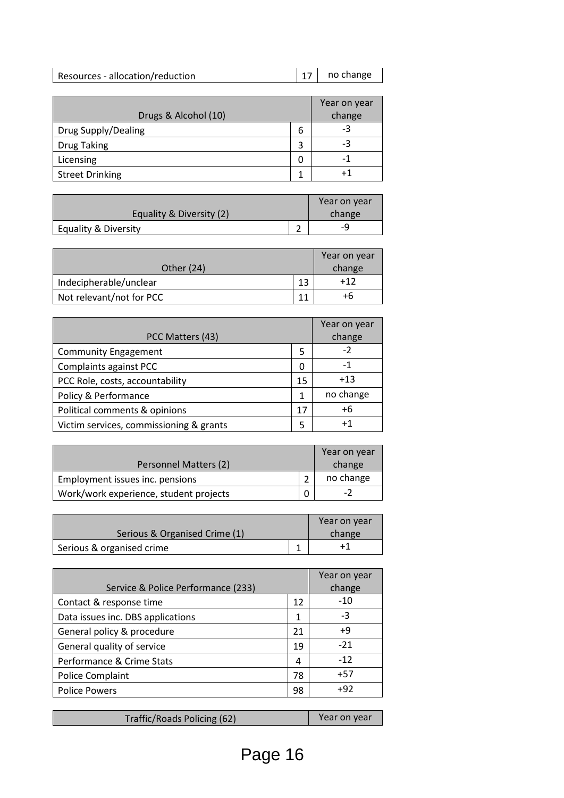| Resources - allocation/reduction | $ 17 $ no change |
|----------------------------------|------------------|
|                                  |                  |

|                            |   | Year on year |
|----------------------------|---|--------------|
| Drugs & Alcohol (10)       |   | change       |
| <b>Drug Supply/Dealing</b> | 6 | -3           |
| <b>Drug Taking</b>         | 3 | -3           |
| Licensing                  | 0 | - 1          |
| <b>Street Drinking</b>     |   | +1           |

| Equality & Diversity (2)        |   | Year on year<br>change |
|---------------------------------|---|------------------------|
| <b>Equality &amp; Diversity</b> | ∽ |                        |

| Other (24)               |    | Year on year<br>change |
|--------------------------|----|------------------------|
| Indecipherable/unclear   | 13 | $+12$                  |
| Not relevant/not for PCC |    | +h                     |

|                                         |    | Year on year |
|-----------------------------------------|----|--------------|
| PCC Matters (43)                        |    | change       |
| <b>Community Engagement</b>             | 5  | $-2$         |
| Complaints against PCC                  | O  | -1           |
| PCC Role, costs, accountability         | 15 | $+13$        |
| Policy & Performance                    | 1  | no change    |
| Political comments & opinions           | 17 | $+6$         |
| Victim services, commissioning & grants | 5  | $^{+1}$      |

|                                        | Year on year |
|----------------------------------------|--------------|
| Personnel Matters (2)                  | change       |
| Employment issues inc. pensions        | no change    |
| Work/work experience, student projects | $-2$         |

|                               | Year on year |
|-------------------------------|--------------|
| Serious & Organised Crime (1) | change       |
| Serious & organised crime     |              |

| Service & Police Performance (233) |    | Year on year<br>change |
|------------------------------------|----|------------------------|
| Contact & response time            | 12 | $-10$                  |
| Data issues inc. DBS applications  | 1  | -3                     |
| General policy & procedure         | 21 | $+9$                   |
| General quality of service         | 19 | $-21$                  |
| Performance & Crime Stats          | 4  | $-12$                  |
| Police Complaint                   | 78 | $+57$                  |
| <b>Police Powers</b>               | 98 | $+92$                  |
|                                    |    |                        |

| Traffic/Roads Policing (62) | Year on year |
|-----------------------------|--------------|
|                             |              |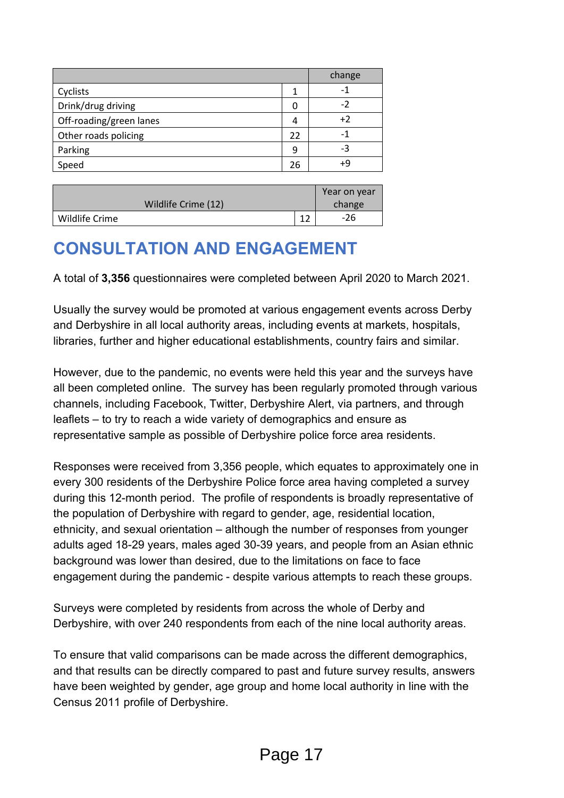|                         |    | change |
|-------------------------|----|--------|
| Cyclists                |    | - 1    |
| Drink/drug driving      | 0  | -2     |
| Off-roading/green lanes | 4  | $+2$   |
| Other roads policing    | 22 | -1     |
| Parking                 | 9  | -3     |
| Speed                   | 26 | +9     |

|                     |    | Year on year |
|---------------------|----|--------------|
| Wildlife Crime (12) |    | change       |
| Wildlife Crime      | 1. | -26          |

## **CONSULTATION AND ENGAGEMENT**

A total of **3,356** questionnaires were completed between April 2020 to March 2021.

Usually the survey would be promoted at various engagement events across Derby and Derbyshire in all local authority areas, including events at markets, hospitals, libraries, further and higher educational establishments, country fairs and similar.

However, due to the pandemic, no events were held this year and the surveys have all been completed online. The survey has been regularly promoted through various channels, including Facebook, Twitter, Derbyshire Alert, via partners, and through leaflets – to try to reach a wide variety of demographics and ensure as representative sample as possible of Derbyshire police force area residents.

Responses were received from 3,356 people, which equates to approximately one in every 300 residents of the Derbyshire Police force area having completed a survey during this 12-month period. The profile of respondents is broadly representative of the population of Derbyshire with regard to gender, age, residential location, ethnicity, and sexual orientation – although the number of responses from younger adults aged 18-29 years, males aged 30-39 years, and people from an Asian ethnic background was lower than desired, due to the limitations on face to face engagement during the pandemic - despite various attempts to reach these groups.

Surveys were completed by residents from across the whole of Derby and Derbyshire, with over 240 respondents from each of the nine local authority areas.

To ensure that valid comparisons can be made across the different demographics, and that results can be directly compared to past and future survey results, answers have been weighted by gender, age group and home local authority in line with the Census 2011 profile of Derbyshire.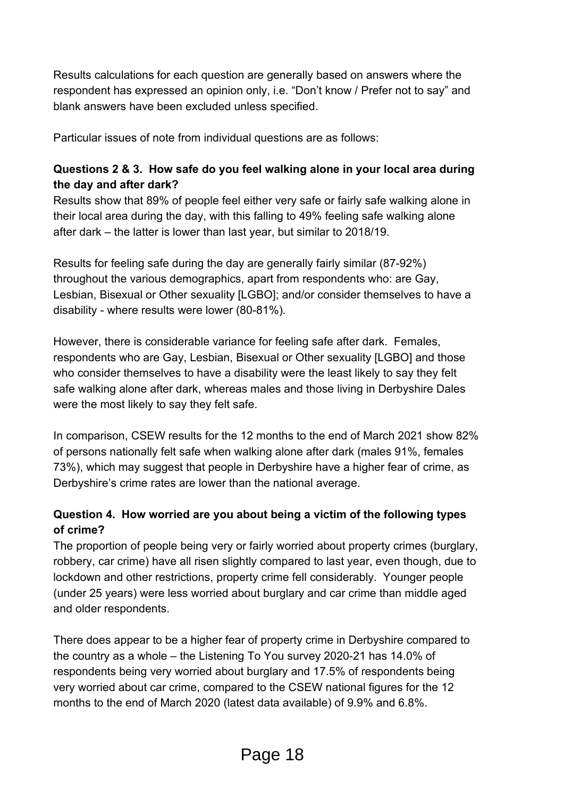Results calculations for each question are generally based on answers where the respondent has expressed an opinion only, i.e. "Don't know / Prefer not to say" and blank answers have been excluded unless specified.

Particular issues of note from individual questions are as follows:

#### **Questions 2 & 3. How safe do you feel walking alone in your local area during the day and after dark?**

Results show that 89% of people feel either very safe or fairly safe walking alone in their local area during the day, with this falling to 49% feeling safe walking alone after dark – the latter is lower than last year, but similar to 2018/19.

Results for feeling safe during the day are generally fairly similar (87-92%) throughout the various demographics, apart from respondents who: are Gay, Lesbian, Bisexual or Other sexuality [LGBO]; and/or consider themselves to have a disability - where results were lower (80-81%).

However, there is considerable variance for feeling safe after dark. Females, respondents who are Gay, Lesbian, Bisexual or Other sexuality [LGBO] and those who consider themselves to have a disability were the least likely to say they felt safe walking alone after dark, whereas males and those living in Derbyshire Dales were the most likely to say they felt safe.

In comparison, CSEW results for the 12 months to the end of March 2021 show 82% of persons nationally felt safe when walking alone after dark (males 91%, females 73%), which may suggest that people in Derbyshire have a higher fear of crime, as Derbyshire's crime rates are lower than the national average.

### **Question 4. How worried are you about being a victim of the following types of crime?**

The proportion of people being very or fairly worried about property crimes (burglary, robbery, car crime) have all risen slightly compared to last year, even though, due to lockdown and other restrictions, property crime fell considerably. Younger people (under 25 years) were less worried about burglary and car crime than middle aged and older respondents.

There does appear to be a higher fear of property crime in Derbyshire compared to the country as a whole – the Listening To You survey 2020-21 has 14.0% of respondents being very worried about burglary and 17.5% of respondents being very worried about car crime, compared to the CSEW national figures for the 12 months to the end of March 2020 (latest data available) of 9.9% and 6.8%.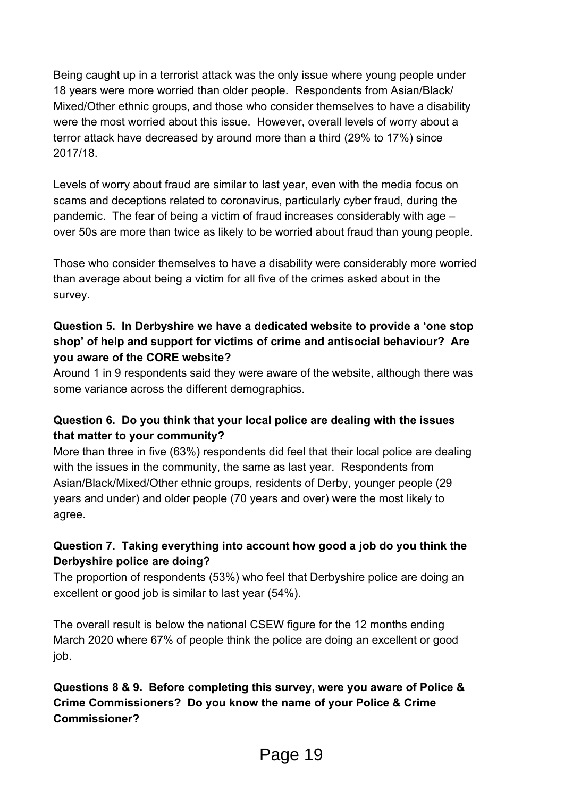Being caught up in a terrorist attack was the only issue where young people under 18 years were more worried than older people. Respondents from Asian/Black/ Mixed/Other ethnic groups, and those who consider themselves to have a disability were the most worried about this issue. However, overall levels of worry about a terror attack have decreased by around more than a third (29% to 17%) since 2017/18.

Levels of worry about fraud are similar to last year, even with the media focus on scams and deceptions related to coronavirus, particularly cyber fraud, during the pandemic. The fear of being a victim of fraud increases considerably with age – over 50s are more than twice as likely to be worried about fraud than young people.

Those who consider themselves to have a disability were considerably more worried than average about being a victim for all five of the crimes asked about in the survey.

#### **Question 5. In Derbyshire we have a dedicated website to provide a 'one stop shop' of help and support for victims of crime and antisocial behaviour? Are you aware of the CORE website?**

Around 1 in 9 respondents said they were aware of the website, although there was some variance across the different demographics.

#### **Question 6. Do you think that your local police are dealing with the issues that matter to your community?**

More than three in five (63%) respondents did feel that their local police are dealing with the issues in the community, the same as last year. Respondents from Asian/Black/Mixed/Other ethnic groups, residents of Derby, younger people (29 years and under) and older people (70 years and over) were the most likely to agree.

#### **Question 7. Taking everything into account how good a job do you think the Derbyshire police are doing?**

The proportion of respondents (53%) who feel that Derbyshire police are doing an excellent or good job is similar to last year (54%).

The overall result is below the national CSEW figure for the 12 months ending March 2020 where 67% of people think the police are doing an excellent or good job.

### **Questions 8 & 9. Before completing this survey, were you aware of Police & Crime Commissioners? Do you know the name of your Police & Crime Commissioner?**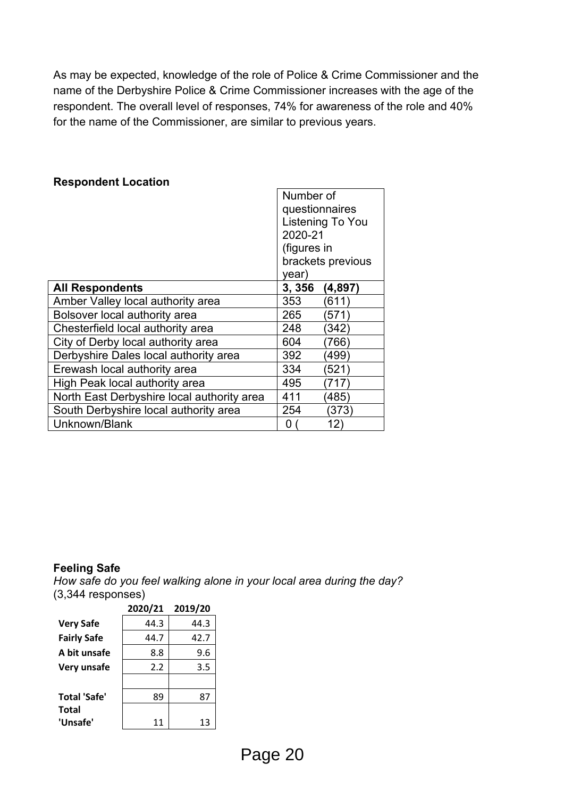As may be expected, knowledge of the role of Police & Crime Commissioner and the name of the Derbyshire Police & Crime Commissioner increases with the age of the respondent. The overall level of responses, 74% for awareness of the role and 40% for the name of the Commissioner, are similar to previous years.

|                                            | Number of          |  |
|--------------------------------------------|--------------------|--|
|                                            | questionnaires     |  |
|                                            | Listening To You   |  |
|                                            | 2020-21            |  |
|                                            | (figures in        |  |
|                                            | brackets previous  |  |
|                                            | year)              |  |
| <b>All Respondents</b>                     | 3,356<br>(4,897)   |  |
| Amber Valley local authority area          | 353<br>(611)       |  |
| Bolsover local authority area              | 265<br>[571]       |  |
| Chesterfield local authority area          | 248<br>(342        |  |
| City of Derby local authority area         | 604<br>(766        |  |
| Derbyshire Dales local authority area      | 392<br>(499)       |  |
| Erewash local authority area               | 334<br>$521^\circ$ |  |
| High Peak local authority area             | 495<br>717         |  |
| North East Derbyshire local authority area | 411<br>(485)       |  |
| South Derbyshire local authority area      | 254<br>(373)       |  |
| Unknown/Blank                              | 12)<br>0           |  |

#### **Respondent Location**

#### **Feeling Safe**

*How safe do you feel walking alone in your local area during the day?* (3,344 responses)

|                     | 2020/21 | 2019/20 |
|---------------------|---------|---------|
| <b>Very Safe</b>    | 44.3    | 44.3    |
| <b>Fairly Safe</b>  | 44.7    | 42.7    |
| A bit unsafe        | 8.8     | 9.6     |
| Very unsafe         | 2.2     | 3.5     |
|                     |         |         |
| <b>Total 'Safe'</b> | 89      | 87      |
| <b>Total</b>        |         |         |
| 'Unsafe'            | 11      | 13      |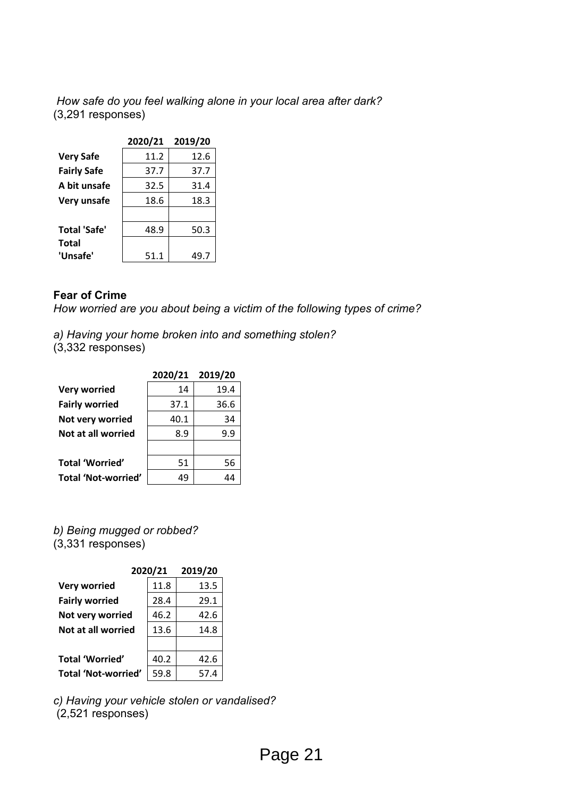*How safe do you feel walking alone in your local area after dark?*  (3,291 responses)

|                     | 2020/21 | 2019/20 |
|---------------------|---------|---------|
| <b>Very Safe</b>    | 11.2    | 12.6    |
| <b>Fairly Safe</b>  | 37.7    | 37.7    |
| A bit unsafe        | 32.5    | 31.4    |
| Very unsafe         | 18.6    | 18.3    |
|                     |         |         |
| <b>Total 'Safe'</b> | 48.9    | 50.3    |
| <b>Total</b>        |         |         |
| 'Unsafe'            | 51.1    | 49.7    |

#### **Fear of Crime**

*How worried are you about being a victim of the following types of crime?*

*a) Having your home broken into and something stolen?*  $(3,332$  responses)

|                            | 2020/21 2019/20 |      |
|----------------------------|-----------------|------|
| <b>Very worried</b>        | 14              | 19.4 |
| <b>Fairly worried</b>      | 37.1            | 36.6 |
| Not very worried           | 40.1            | 34   |
| Not at all worried         | 8.9             | 9.9  |
|                            |                 |      |
| <b>Total 'Worried'</b>     | 51              | 56   |
| <b>Total 'Not-worried'</b> |                 |      |

*b) Being mugged or robbed?* (3,331 responses)

|                            | 2020/21 | 2019/20 |
|----------------------------|---------|---------|
| <b>Very worried</b>        | 11.8    | 13.5    |
| <b>Fairly worried</b>      | 28.4    | 29.1    |
| Not very worried           | 46.2    | 42.6    |
| Not at all worried         | 13.6    | 14.8    |
|                            |         |         |
| <b>Total 'Worried'</b>     | 40.2    | 42.6    |
| <b>Total 'Not-worried'</b> | 59.8    | 57.4    |

*c) Having your vehicle stolen or vandalised?* (2,521 responses)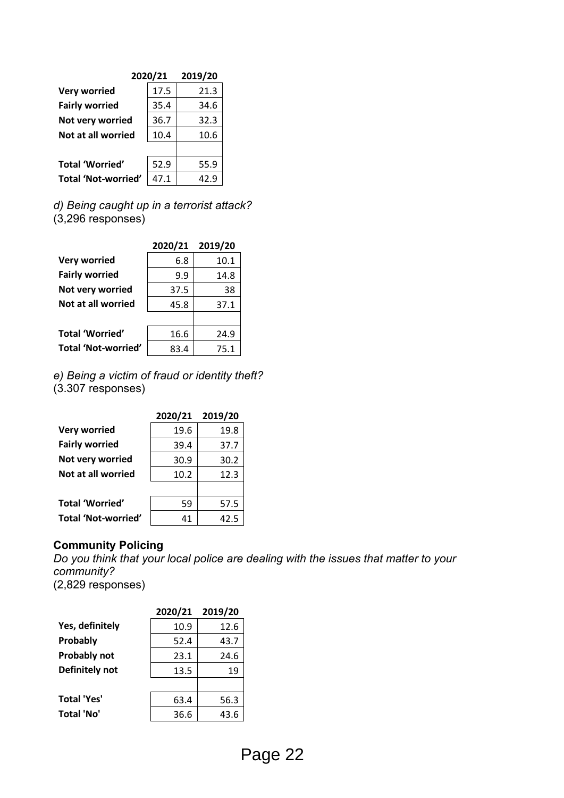|                            | 2020/21 | 2019/20 |
|----------------------------|---------|---------|
| <b>Very worried</b>        | 17.5    | 21.3    |
| <b>Fairly worried</b>      | 35.4    | 34.6    |
| Not very worried           | 36.7    | 32.3    |
| Not at all worried         | 10.4    | 10.6    |
|                            |         |         |
| <b>Total 'Worried'</b>     | 52.9    | 55.9    |
| <b>Total 'Not-worried'</b> | 47.1    | 42.9    |

*d) Being caught up in a terrorist attack?* (3,296 responses)

|                            | 2020/21 2019/20 |      |
|----------------------------|-----------------|------|
| <b>Very worried</b>        | 6.8             | 10.1 |
| <b>Fairly worried</b>      | 9.9             | 14.8 |
| Not very worried           | 37.5            | 38   |
| Not at all worried         | 45.8            | 37.1 |
|                            |                 |      |
| <b>Total 'Worried'</b>     | 16.6            | 24.9 |
| <b>Total 'Not-worried'</b> | 83.4            | 75.1 |

*e) Being a victim of fraud or identity theft?*  $(3.307$  responses)

|                            | 2020/21 2019/20 |      |
|----------------------------|-----------------|------|
| <b>Very worried</b>        | 19.6            | 19.8 |
| <b>Fairly worried</b>      | 39.4            | 37.7 |
| Not very worried           | 30.9            | 30.2 |
| Not at all worried         | 10.2            | 12.3 |
|                            |                 |      |
| <b>Total 'Worried'</b>     | 59              | 57.5 |
| <b>Total 'Not-worried'</b> | 41              | 42.5 |

#### **Community Policing**

*Do you think that your local police are dealing with the issues that matter to your community?*  (2,829 responses)

|                    | 2020/21 | 2019/20 |
|--------------------|---------|---------|
| Yes, definitely    | 10.9    | 12.6    |
| Probably           | 52.4    | 43.7    |
| Probably not       | 23.1    | 24.6    |
| Definitely not     | 13.5    | 19      |
|                    |         |         |
| <b>Total 'Yes'</b> | 63.4    | 56.3    |
| <b>Total 'No'</b>  | 36.6    | 43.6    |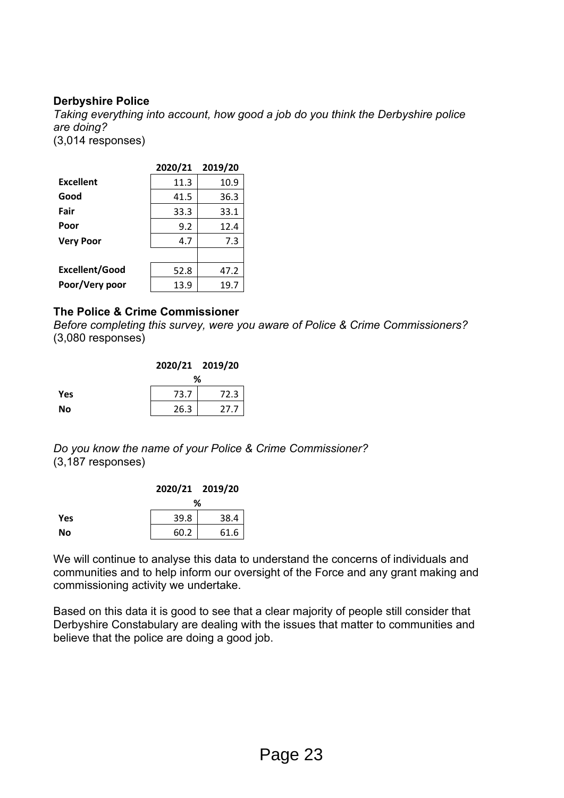#### **Derbyshire Police**

*Taking everything into account, how good a job do you think the Derbyshire police are doing?*  (3,014 responses)

|                       | 2020/21 | 2019/20 |
|-----------------------|---------|---------|
| <b>Excellent</b>      | 11.3    | 10.9    |
| Good                  | 41.5    | 36.3    |
| Fair                  | 33.3    | 33.1    |
| Poor                  | 9.2     | 12.4    |
| <b>Very Poor</b>      | 4.7     | 7.3     |
|                       |         |         |
| <b>Excellent/Good</b> | 52.8    | 47.2    |
| Poor/Very poor        | 13.9    | 19.7    |

#### **The Police & Crime Commissioner**

*Before completing this survey, were you aware of Police & Crime Commissioners?* (3,080 responses)

|            | 2020/21 2019/20 |      |
|------------|-----------------|------|
|            | ℅               |      |
| <b>Yes</b> | 73.7            | 72.3 |
| No         | 26.3            | 27.7 |

*Do you know the name of your Police & Crime Commissioner?* (3,187 responses)

|     | 2020/21 2019/20 |      |
|-----|-----------------|------|
|     | ℅               |      |
| Yes | 39.8            | 38.4 |
| No  | 60.2            | 61.6 |

We will continue to analyse this data to understand the concerns of individuals and communities and to help inform our oversight of the Force and any grant making and commissioning activity we undertake.

Based on this data it is good to see that a clear majority of people still consider that Derbyshire Constabulary are dealing with the issues that matter to communities and believe that the police are doing a good job.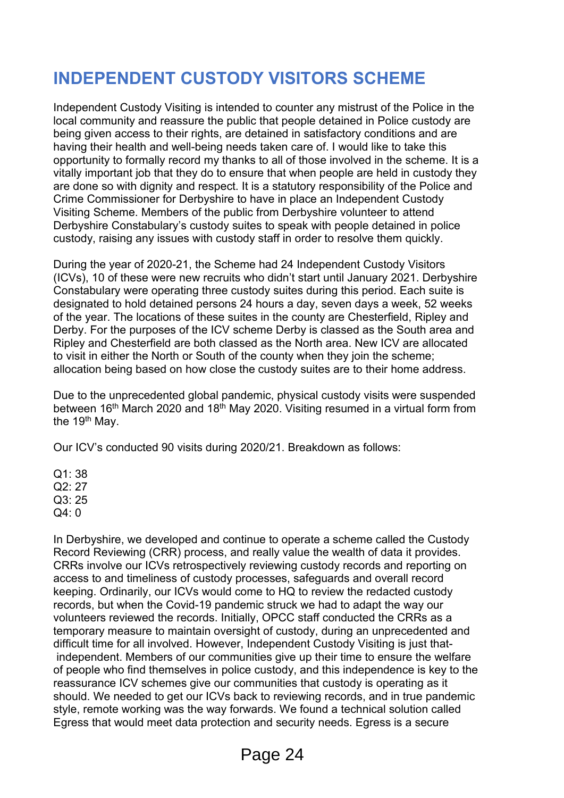### **INDEPENDENT CUSTODY VISITORS SCHEME**

Independent Custody Visiting is intended to counter any mistrust of the Police in the local community and reassure the public that people detained in Police custody are being given access to their rights, are detained in satisfactory conditions and are having their health and well-being needs taken care of. I would like to take this opportunity to formally record my thanks to all of those involved in the scheme. It is a vitally important job that they do to ensure that when people are held in custody they are done so with dignity and respect. It is a statutory responsibility of the Police and Crime Commissioner for Derbyshire to have in place an Independent Custody Visiting Scheme. Members of the public from Derbyshire volunteer to attend Derbyshire Constabulary's custody suites to speak with people detained in police custody, raising any issues with custody staff in order to resolve them quickly.

During the year of 2020-21, the Scheme had 24 Independent Custody Visitors (ICVs), 10 of these were new recruits who didn't start until January 2021. Derbyshire Constabulary were operating three custody suites during this period. Each suite is designated to hold detained persons 24 hours a day, seven days a week, 52 weeks of the year. The locations of these suites in the county are Chesterfield, Ripley and Derby. For the purposes of the ICV scheme Derby is classed as the South area and Ripley and Chesterfield are both classed as the North area. New ICV are allocated to visit in either the North or South of the county when they join the scheme; allocation being based on how close the custody suites are to their home address.

Due to the unprecedented global pandemic, physical custody visits were suspended between 16<sup>th</sup> March 2020 and 18<sup>th</sup> May 2020. Visiting resumed in a virtual form from the 19<sup>th</sup> May.

Our ICV's conducted 90 visits during 2020/21. Breakdown as follows:

 $O1: 38$  $Q2 \cdot 27$ 

Q3: 25

Q4: 0

In Derbyshire, we developed and continue to operate a scheme called the Custody Record Reviewing (CRR) process, and really value the wealth of data it provides. CRRs involve our ICVs retrospectively reviewing custody records and reporting on access to and timeliness of custody processes, safeguards and overall record keeping. Ordinarily, our ICVs would come to HQ to review the redacted custody records, but when the Covid-19 pandemic struck we had to adapt the way our volunteers reviewed the records. Initially, OPCC staff conducted the CRRs as a temporary measure to maintain oversight of custody, during an unprecedented and difficult time for all involved. However, Independent Custody Visiting is just thatindependent. Members of our communities give up their time to ensure the welfare of people who find themselves in police custody, and this independence is key to the reassurance ICV schemes give our communities that custody is operating as it should. We needed to get our ICVs back to reviewing records, and in true pandemic style, remote working was the way forwards. We found a technical solution called Egress that would meet data protection and security needs. Egress is a secure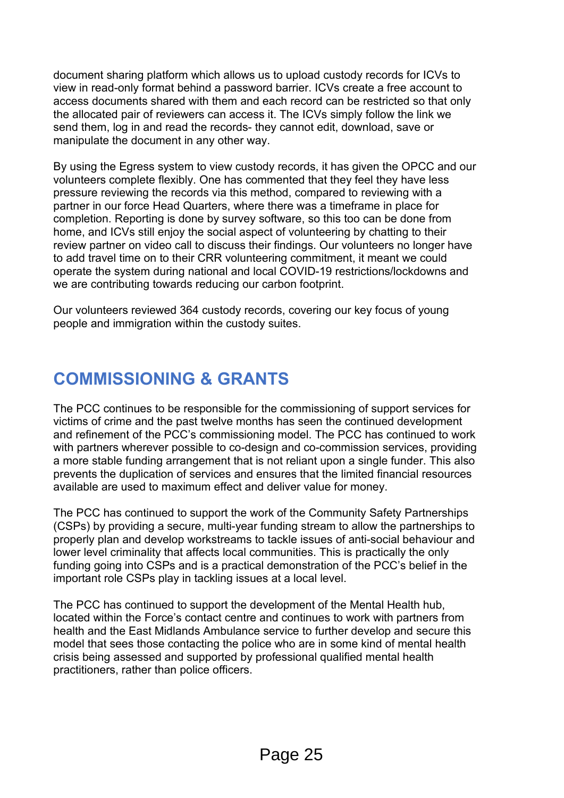document sharing platform which allows us to upload custody records for ICVs to view in read-only format behind a password barrier. ICVs create a free account to access documents shared with them and each record can be restricted so that only the allocated pair of reviewers can access it. The ICVs simply follow the link we send them, log in and read the records- they cannot edit, download, save or manipulate the document in any other way.

By using the Egress system to view custody records, it has given the OPCC and our volunteers complete flexibly. One has commented that they feel they have less pressure reviewing the records via this method, compared to reviewing with a partner in our force Head Quarters, where there was a timeframe in place for completion. Reporting is done by survey software, so this too can be done from home, and ICVs still enjoy the social aspect of volunteering by chatting to their review partner on video call to discuss their findings. Our volunteers no longer have to add travel time on to their CRR volunteering commitment, it meant we could operate the system during national and local COVID-19 restrictions/lockdowns and we are contributing towards reducing our carbon footprint.

Our volunteers reviewed 364 custody records, covering our key focus of young people and immigration within the custody suites.

### **COMMISSIONING & GRANTS**

The PCC continues to be responsible for the commissioning of support services for victims of crime and the past twelve months has seen the continued development and refinement of the PCC's commissioning model. The PCC has continued to work with partners wherever possible to co-design and co-commission services, providing a more stable funding arrangement that is not reliant upon a single funder. This also prevents the duplication of services and ensures that the limited financial resources available are used to maximum effect and deliver value for money.

The PCC has continued to support the work of the Community Safety Partnerships (CSPs) by providing a secure, multi-year funding stream to allow the partnerships to properly plan and develop workstreams to tackle issues of anti-social behaviour and lower level criminality that affects local communities. This is practically the only funding going into CSPs and is a practical demonstration of the PCC's belief in the important role CSPs play in tackling issues at a local level.

The PCC has continued to support the development of the Mental Health hub, located within the Force's contact centre and continues to work with partners from health and the East Midlands Ambulance service to further develop and secure this model that sees those contacting the police who are in some kind of mental health crisis being assessed and supported by professional qualified mental health practitioners, rather than police officers.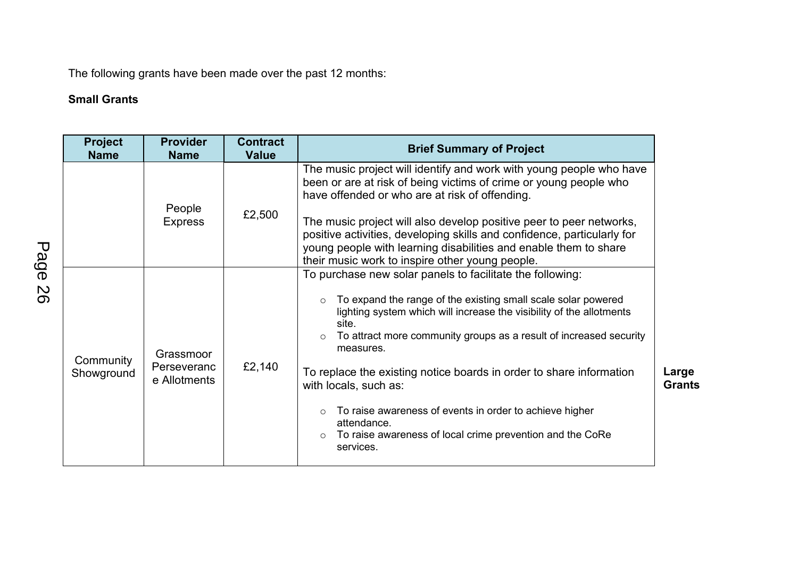The following grants have been made over the past 12 months:

### **Small Grants**

| <b>Project</b><br><b>Name</b> | <b>Provider</b><br><b>Name</b>           | <b>Contract</b><br><b>Value</b> | <b>Brief Summary of Project</b>                                                                                                                                                                                                                                                                                                                                                                                                                                                                                                                                                     |                        |
|-------------------------------|------------------------------------------|---------------------------------|-------------------------------------------------------------------------------------------------------------------------------------------------------------------------------------------------------------------------------------------------------------------------------------------------------------------------------------------------------------------------------------------------------------------------------------------------------------------------------------------------------------------------------------------------------------------------------------|------------------------|
|                               | People<br><b>Express</b>                 | £2,500                          | The music project will identify and work with young people who have<br>been or are at risk of being victims of crime or young people who<br>have offended or who are at risk of offending.<br>The music project will also develop positive peer to peer networks,<br>positive activities, developing skills and confidence, particularly for<br>young people with learning disabilities and enable them to share<br>their music work to inspire other young people.                                                                                                                 |                        |
| Community<br>Showground       | Grassmoor<br>Perseveranc<br>e Allotments | £2,140                          | To purchase new solar panels to facilitate the following:<br>To expand the range of the existing small scale solar powered<br>$\circ$<br>lighting system which will increase the visibility of the allotments<br>site.<br>To attract more community groups as a result of increased security<br>$\circ$<br>measures.<br>To replace the existing notice boards in order to share information<br>with locals, such as:<br>To raise awareness of events in order to achieve higher<br>$\circ$<br>attendance.<br>To raise awareness of local crime prevention and the CoRe<br>services. | Large<br><b>Grants</b> |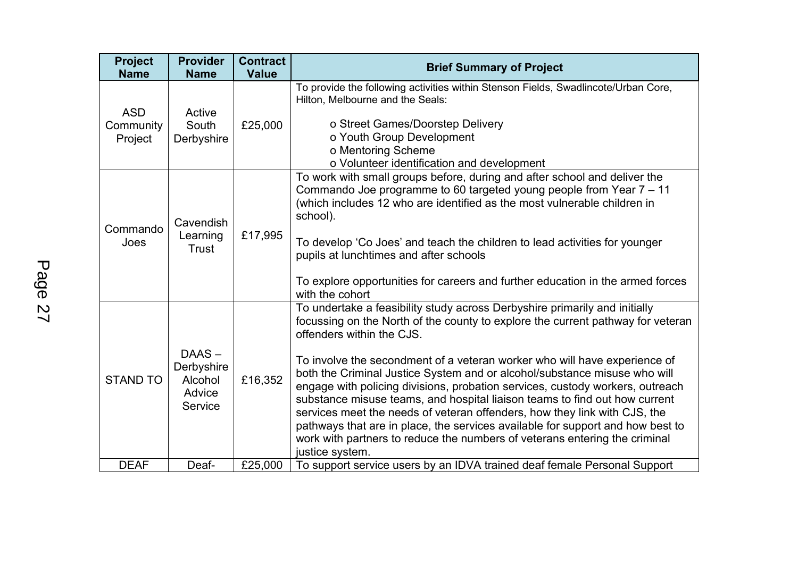| <b>Project</b><br><b>Name</b>      | <b>Provider</b><br><b>Name</b>                      | <b>Contract</b><br><b>Value</b> | <b>Brief Summary of Project</b>                                                                                                                                                                                                                                                                                                                                                                                                                                                                                                                                                                                                                                                                                                                                                     |
|------------------------------------|-----------------------------------------------------|---------------------------------|-------------------------------------------------------------------------------------------------------------------------------------------------------------------------------------------------------------------------------------------------------------------------------------------------------------------------------------------------------------------------------------------------------------------------------------------------------------------------------------------------------------------------------------------------------------------------------------------------------------------------------------------------------------------------------------------------------------------------------------------------------------------------------------|
| <b>ASD</b><br>Community<br>Project | Active<br>South<br>Derbyshire                       | £25,000                         | To provide the following activities within Stenson Fields, Swadlincote/Urban Core,<br>Hilton, Melbourne and the Seals:<br>o Street Games/Doorstep Delivery<br>o Youth Group Development<br>o Mentoring Scheme<br>o Volunteer identification and development                                                                                                                                                                                                                                                                                                                                                                                                                                                                                                                         |
| Commando<br>Joes                   | Cavendish<br>Learning<br>Trust                      | £17,995                         | To work with small groups before, during and after school and deliver the<br>Commando Joe programme to 60 targeted young people from Year 7 - 11<br>(which includes 12 who are identified as the most vulnerable children in<br>school).<br>To develop 'Co Joes' and teach the children to lead activities for younger<br>pupils at lunchtimes and after schools<br>To explore opportunities for careers and further education in the armed forces<br>with the cohort                                                                                                                                                                                                                                                                                                               |
| <b>STAND TO</b>                    | DAAS-<br>Derbyshire<br>Alcohol<br>Advice<br>Service | £16,352                         | To undertake a feasibility study across Derbyshire primarily and initially<br>focussing on the North of the county to explore the current pathway for veteran<br>offenders within the CJS.<br>To involve the secondment of a veteran worker who will have experience of<br>both the Criminal Justice System and or alcohol/substance misuse who will<br>engage with policing divisions, probation services, custody workers, outreach<br>substance misuse teams, and hospital liaison teams to find out how current<br>services meet the needs of veteran offenders, how they link with CJS, the<br>pathways that are in place, the services available for support and how best to<br>work with partners to reduce the numbers of veterans entering the criminal<br>justice system. |
| <b>DEAF</b>                        | Deaf-                                               | £25,000                         | To support service users by an IDVA trained deaf female Personal Support                                                                                                                                                                                                                                                                                                                                                                                                                                                                                                                                                                                                                                                                                                            |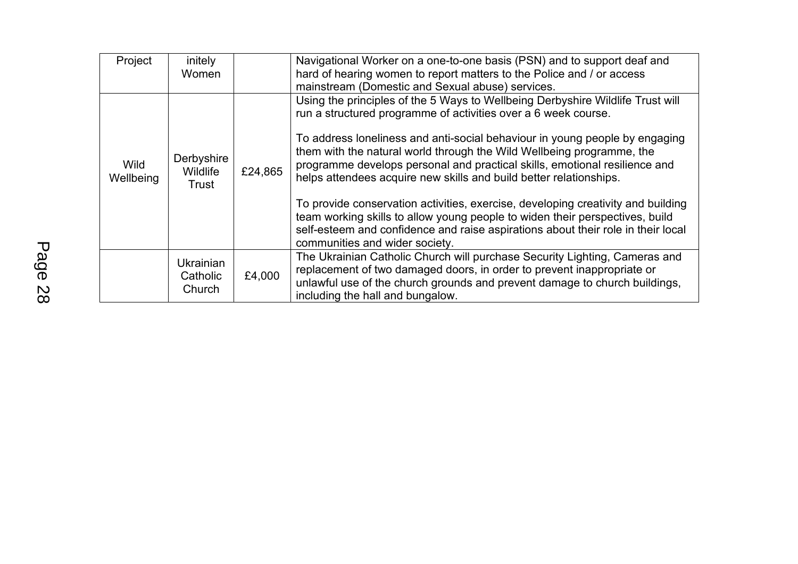| Project                  | initely<br>Women                       |         | Navigational Worker on a one-to-one basis (PSN) and to support deaf and<br>hard of hearing women to report matters to the Police and / or access<br>mainstream (Domestic and Sexual abuse) services.                                                                                                                                                                                                                                                                                                                                             |
|--------------------------|----------------------------------------|---------|--------------------------------------------------------------------------------------------------------------------------------------------------------------------------------------------------------------------------------------------------------------------------------------------------------------------------------------------------------------------------------------------------------------------------------------------------------------------------------------------------------------------------------------------------|
| <b>Wild</b><br>Wellbeing | Derbyshire<br>Wildlife<br>Trust        | £24,865 | Using the principles of the 5 Ways to Wellbeing Derbyshire Wildlife Trust will<br>run a structured programme of activities over a 6 week course.<br>To address loneliness and anti-social behaviour in young people by engaging<br>them with the natural world through the Wild Wellbeing programme, the<br>programme develops personal and practical skills, emotional resilience and<br>helps attendees acquire new skills and build better relationships.<br>To provide conservation activities, exercise, developing creativity and building |
|                          |                                        |         | team working skills to allow young people to widen their perspectives, build<br>self-esteem and confidence and raise aspirations about their role in their local<br>communities and wider society.                                                                                                                                                                                                                                                                                                                                               |
|                          | <b>Ukrainian</b><br>Catholic<br>Church | £4,000  | The Ukrainian Catholic Church will purchase Security Lighting, Cameras and<br>replacement of two damaged doors, in order to prevent inappropriate or<br>unlawful use of the church grounds and prevent damage to church buildings,<br>including the hall and bungalow.                                                                                                                                                                                                                                                                           |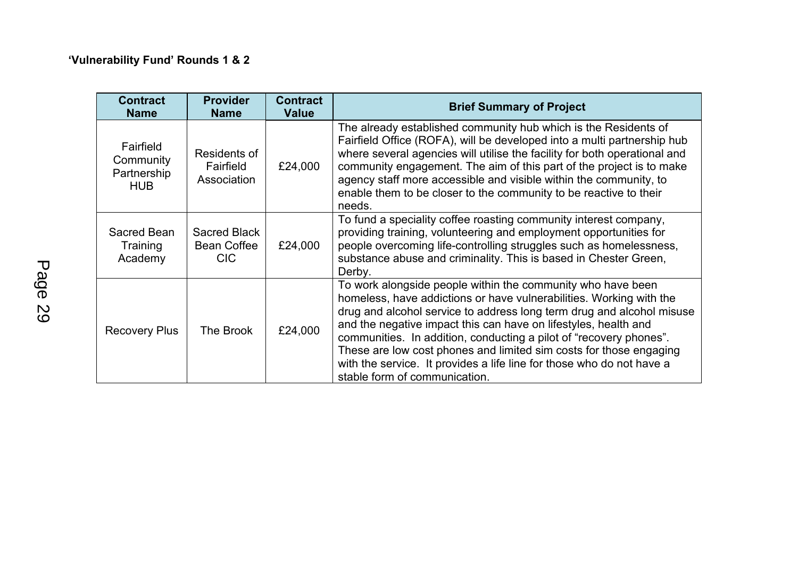| <b>Contract</b><br><b>Name</b>                      | <b>Provider</b><br><b>Name</b>                   | <b>Contract</b><br><b>Value</b> | <b>Brief Summary of Project</b>                                                                                                                                                                                                                                                                                                                                                                                                                                                                                                      |
|-----------------------------------------------------|--------------------------------------------------|---------------------------------|--------------------------------------------------------------------------------------------------------------------------------------------------------------------------------------------------------------------------------------------------------------------------------------------------------------------------------------------------------------------------------------------------------------------------------------------------------------------------------------------------------------------------------------|
| Fairfield<br>Community<br>Partnership<br><b>HUB</b> | Residents of<br>Fairfield<br>Association         | £24,000                         | The already established community hub which is the Residents of<br>Fairfield Office (ROFA), will be developed into a multi partnership hub<br>where several agencies will utilise the facility for both operational and<br>community engagement. The aim of this part of the project is to make<br>agency staff more accessible and visible within the community, to<br>enable them to be closer to the community to be reactive to their<br>needs.                                                                                  |
| Sacred Bean<br>Training<br>Academy                  | Sacred Black<br><b>Bean Coffee</b><br><b>CIC</b> | £24,000                         | To fund a speciality coffee roasting community interest company,<br>providing training, volunteering and employment opportunities for<br>people overcoming life-controlling struggles such as homelessness,<br>substance abuse and criminality. This is based in Chester Green,<br>Derby.                                                                                                                                                                                                                                            |
| <b>Recovery Plus</b>                                | The Brook                                        | £24,000                         | To work alongside people within the community who have been<br>homeless, have addictions or have vulnerabilities. Working with the<br>drug and alcohol service to address long term drug and alcohol misuse<br>and the negative impact this can have on lifestyles, health and<br>communities. In addition, conducting a pilot of "recovery phones".<br>These are low cost phones and limited sim costs for those engaging<br>with the service. It provides a life line for those who do not have a<br>stable form of communication. |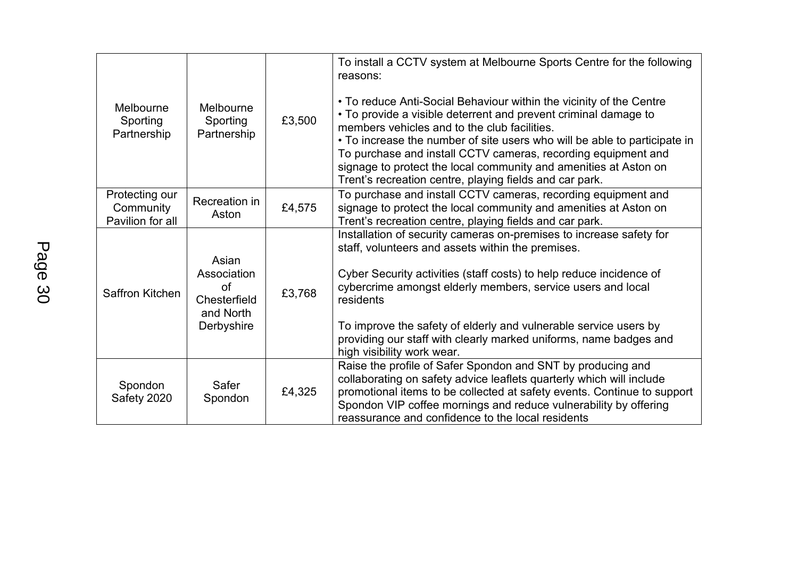| Melbourne<br>Sporting<br>Partnership            | Melbourne<br>Sporting<br>Partnership                                  | £3,500 | To install a CCTV system at Melbourne Sports Centre for the following<br>reasons:<br>• To reduce Anti-Social Behaviour within the vicinity of the Centre<br>• To provide a visible deterrent and prevent criminal damage to<br>members vehicles and to the club facilities.<br>• To increase the number of site users who will be able to participate in<br>To purchase and install CCTV cameras, recording equipment and<br>signage to protect the local community and amenities at Aston on<br>Trent's recreation centre, playing fields and car park. |
|-------------------------------------------------|-----------------------------------------------------------------------|--------|----------------------------------------------------------------------------------------------------------------------------------------------------------------------------------------------------------------------------------------------------------------------------------------------------------------------------------------------------------------------------------------------------------------------------------------------------------------------------------------------------------------------------------------------------------|
| Protecting our<br>Community<br>Pavilion for all | Recreation in<br>Aston                                                | £4,575 | To purchase and install CCTV cameras, recording equipment and<br>signage to protect the local community and amenities at Aston on<br>Trent's recreation centre, playing fields and car park.                                                                                                                                                                                                                                                                                                                                                             |
| Saffron Kitchen                                 | Asian<br>Association<br>οf<br>Chesterfield<br>and North<br>Derbyshire | £3,768 | Installation of security cameras on-premises to increase safety for<br>staff, volunteers and assets within the premises.<br>Cyber Security activities (staff costs) to help reduce incidence of<br>cybercrime amongst elderly members, service users and local<br>residents<br>To improve the safety of elderly and vulnerable service users by<br>providing our staff with clearly marked uniforms, name badges and<br>high visibility work wear.                                                                                                       |
| Spondon<br>Safety 2020                          | Safer<br>Spondon                                                      | £4,325 | Raise the profile of Safer Spondon and SNT by producing and<br>collaborating on safety advice leaflets quarterly which will include<br>promotional items to be collected at safety events. Continue to support<br>Spondon VIP coffee mornings and reduce vulnerability by offering<br>reassurance and confidence to the local residents                                                                                                                                                                                                                  |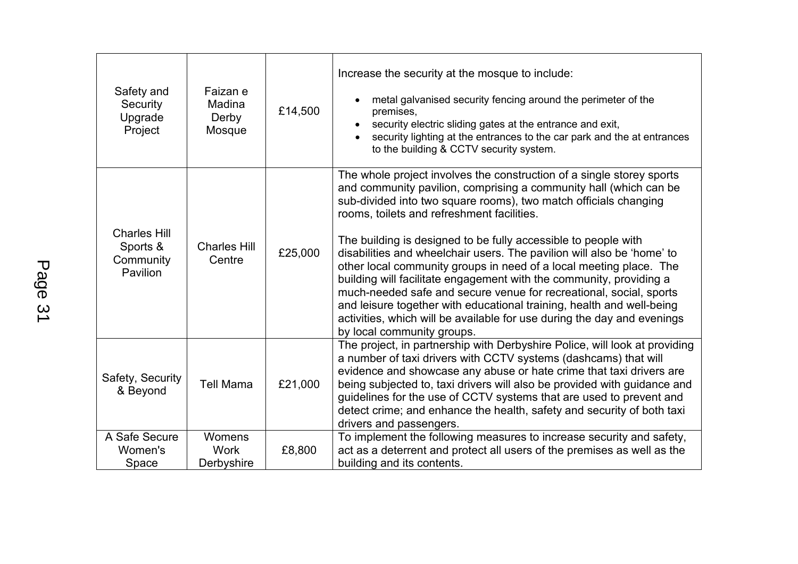| Safety and<br>Security<br>Upgrade<br>Project             | Faizan e<br>Madina<br>Derby<br>Mosque | £14,500 | Increase the security at the mosque to include:<br>metal galvanised security fencing around the perimeter of the<br>premises,<br>security electric sliding gates at the entrance and exit,<br>security lighting at the entrances to the car park and the at entrances<br>to the building & CCTV security system.                                                                                                                                                                                                                                                                                                                                                                                                                                                                                              |
|----------------------------------------------------------|---------------------------------------|---------|---------------------------------------------------------------------------------------------------------------------------------------------------------------------------------------------------------------------------------------------------------------------------------------------------------------------------------------------------------------------------------------------------------------------------------------------------------------------------------------------------------------------------------------------------------------------------------------------------------------------------------------------------------------------------------------------------------------------------------------------------------------------------------------------------------------|
| <b>Charles Hill</b><br>Sports &<br>Community<br>Pavilion | <b>Charles Hill</b><br>Centre         | £25,000 | The whole project involves the construction of a single storey sports<br>and community pavilion, comprising a community hall (which can be<br>sub-divided into two square rooms), two match officials changing<br>rooms, toilets and refreshment facilities.<br>The building is designed to be fully accessible to people with<br>disabilities and wheelchair users. The pavilion will also be 'home' to<br>other local community groups in need of a local meeting place. The<br>building will facilitate engagement with the community, providing a<br>much-needed safe and secure venue for recreational, social, sports<br>and leisure together with educational training, health and well-being<br>activities, which will be available for use during the day and evenings<br>by local community groups. |
| Safety, Security<br>& Beyond                             | <b>Tell Mama</b>                      | £21,000 | The project, in partnership with Derbyshire Police, will look at providing<br>a number of taxi drivers with CCTV systems (dashcams) that will<br>evidence and showcase any abuse or hate crime that taxi drivers are<br>being subjected to, taxi drivers will also be provided with guidance and<br>guidelines for the use of CCTV systems that are used to prevent and<br>detect crime; and enhance the health, safety and security of both taxi<br>drivers and passengers.                                                                                                                                                                                                                                                                                                                                  |
| A Safe Secure<br>Women's<br>Space                        | Womens<br><b>Work</b><br>Derbyshire   | £8,800  | To implement the following measures to increase security and safety,<br>act as a deterrent and protect all users of the premises as well as the<br>building and its contents.                                                                                                                                                                                                                                                                                                                                                                                                                                                                                                                                                                                                                                 |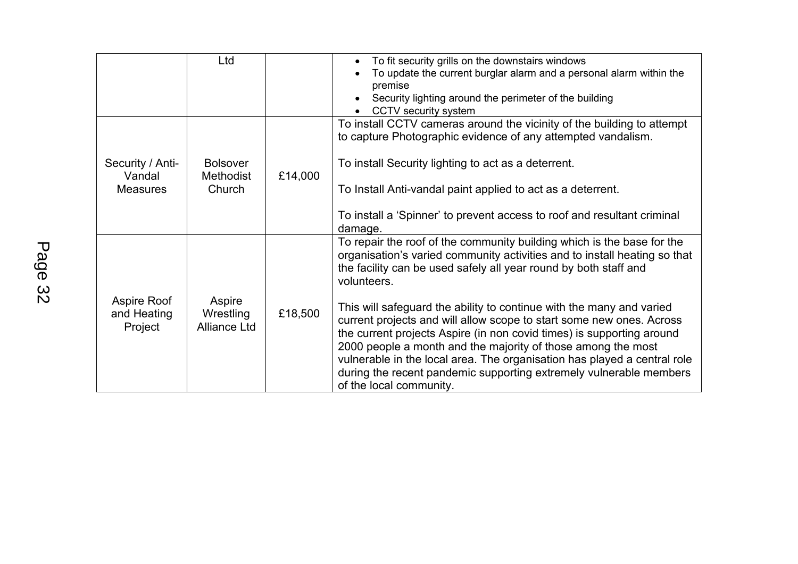|                                               | Ltd                                           |         | To fit security grills on the downstairs windows<br>To update the current burglar alarm and a personal alarm within the<br>premise<br>Security lighting around the perimeter of the building<br>CCTV security system                                                                                                                                                                                                                                                                                                                                                                                                                                                                                         |
|-----------------------------------------------|-----------------------------------------------|---------|--------------------------------------------------------------------------------------------------------------------------------------------------------------------------------------------------------------------------------------------------------------------------------------------------------------------------------------------------------------------------------------------------------------------------------------------------------------------------------------------------------------------------------------------------------------------------------------------------------------------------------------------------------------------------------------------------------------|
| Security / Anti-<br>Vandal<br><b>Measures</b> | <b>Bolsover</b><br><b>Methodist</b><br>Church | £14,000 | To install CCTV cameras around the vicinity of the building to attempt<br>to capture Photographic evidence of any attempted vandalism.<br>To install Security lighting to act as a deterrent.<br>To Install Anti-vandal paint applied to act as a deterrent.<br>To install a 'Spinner' to prevent access to roof and resultant criminal<br>damage.                                                                                                                                                                                                                                                                                                                                                           |
| Aspire Roof<br>and Heating<br>Project         | Aspire<br>Wrestling<br><b>Alliance Ltd</b>    | £18,500 | To repair the roof of the community building which is the base for the<br>organisation's varied community activities and to install heating so that<br>the facility can be used safely all year round by both staff and<br>volunteers.<br>This will safeguard the ability to continue with the many and varied<br>current projects and will allow scope to start some new ones. Across<br>the current projects Aspire (in non covid times) is supporting around<br>2000 people a month and the majority of those among the most<br>vulnerable in the local area. The organisation has played a central role<br>during the recent pandemic supporting extremely vulnerable members<br>of the local community. |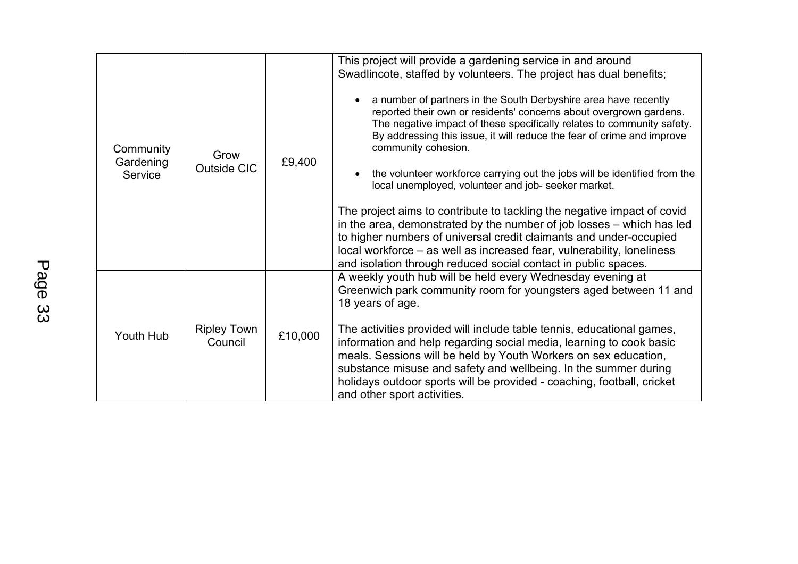| Community<br>Gardening<br>Service | Grow<br><b>Outside CIC</b>    | £9,400  | This project will provide a gardening service in and around<br>Swadlincote, staffed by volunteers. The project has dual benefits;<br>a number of partners in the South Derbyshire area have recently<br>reported their own or residents' concerns about overgrown gardens.<br>The negative impact of these specifically relates to community safety.<br>By addressing this issue, it will reduce the fear of crime and improve<br>community cohesion.<br>the volunteer workforce carrying out the jobs will be identified from the<br>local unemployed, volunteer and job- seeker market.<br>The project aims to contribute to tackling the negative impact of covid<br>in the area, demonstrated by the number of job losses - which has led<br>to higher numbers of universal credit claimants and under-occupied<br>local workforce – as well as increased fear, vulnerability, loneliness |
|-----------------------------------|-------------------------------|---------|-----------------------------------------------------------------------------------------------------------------------------------------------------------------------------------------------------------------------------------------------------------------------------------------------------------------------------------------------------------------------------------------------------------------------------------------------------------------------------------------------------------------------------------------------------------------------------------------------------------------------------------------------------------------------------------------------------------------------------------------------------------------------------------------------------------------------------------------------------------------------------------------------|
| Youth Hub                         | <b>Ripley Town</b><br>Council | £10,000 | and isolation through reduced social contact in public spaces.<br>A weekly youth hub will be held every Wednesday evening at<br>Greenwich park community room for youngsters aged between 11 and<br>18 years of age.<br>The activities provided will include table tennis, educational games,<br>information and help regarding social media, learning to cook basic<br>meals. Sessions will be held by Youth Workers on sex education,<br>substance misuse and safety and wellbeing. In the summer during<br>holidays outdoor sports will be provided - coaching, football, cricket<br>and other sport activities.                                                                                                                                                                                                                                                                           |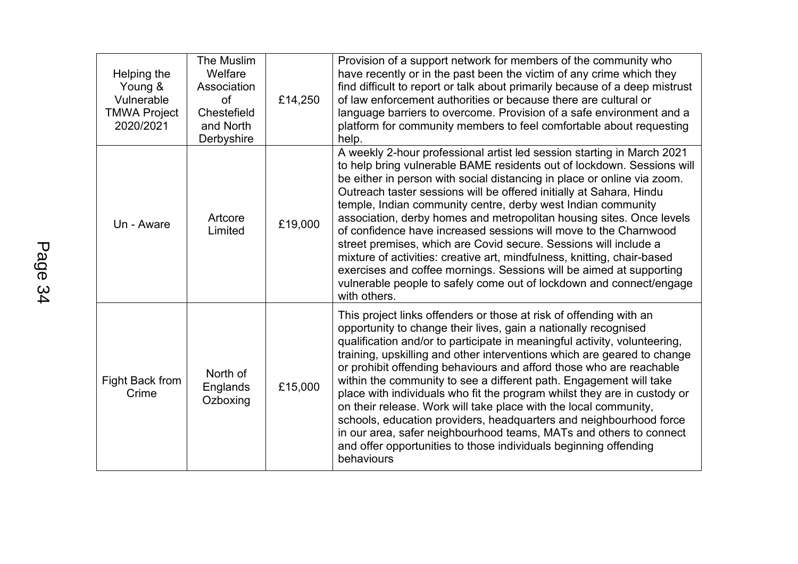| Helping the<br>Young &<br>Vulnerable<br><b>TMWA Project</b><br>2020/2021 | The Muslim<br>Welfare<br>Association<br>of<br>Chestefield<br>and North<br>Derbyshire | £14,250 | Provision of a support network for members of the community who<br>have recently or in the past been the victim of any crime which they<br>find difficult to report or talk about primarily because of a deep mistrust<br>of law enforcement authorities or because there are cultural or<br>language barriers to overcome. Provision of a safe environment and a<br>platform for community members to feel comfortable about requesting<br>help.                                                                                                                                                                                                                                                                                                                                                                           |
|--------------------------------------------------------------------------|--------------------------------------------------------------------------------------|---------|-----------------------------------------------------------------------------------------------------------------------------------------------------------------------------------------------------------------------------------------------------------------------------------------------------------------------------------------------------------------------------------------------------------------------------------------------------------------------------------------------------------------------------------------------------------------------------------------------------------------------------------------------------------------------------------------------------------------------------------------------------------------------------------------------------------------------------|
| Un - Aware                                                               | Artcore<br>Limited                                                                   | £19,000 | A weekly 2-hour professional artist led session starting in March 2021<br>to help bring vulnerable BAME residents out of lockdown. Sessions will<br>be either in person with social distancing in place or online via zoom.<br>Outreach taster sessions will be offered initially at Sahara, Hindu<br>temple, Indian community centre, derby west Indian community<br>association, derby homes and metropolitan housing sites. Once levels<br>of confidence have increased sessions will move to the Charnwood<br>street premises, which are Covid secure. Sessions will include a<br>mixture of activities: creative art, mindfulness, knitting, chair-based<br>exercises and coffee mornings. Sessions will be aimed at supporting<br>vulnerable people to safely come out of lockdown and connect/engage<br>with others. |
| Fight Back from<br>Crime                                                 | North of<br>Englands<br>Ozboxing                                                     | £15,000 | This project links offenders or those at risk of offending with an<br>opportunity to change their lives, gain a nationally recognised<br>qualification and/or to participate in meaningful activity, volunteering,<br>training, upskilling and other interventions which are geared to change<br>or prohibit offending behaviours and afford those who are reachable<br>within the community to see a different path. Engagement will take<br>place with individuals who fit the program whilst they are in custody or<br>on their release. Work will take place with the local community,<br>schools, education providers, headquarters and neighbourhood force<br>in our area, safer neighbourhood teams, MATs and others to connect<br>and offer opportunities to those individuals beginning offending<br>behaviours    |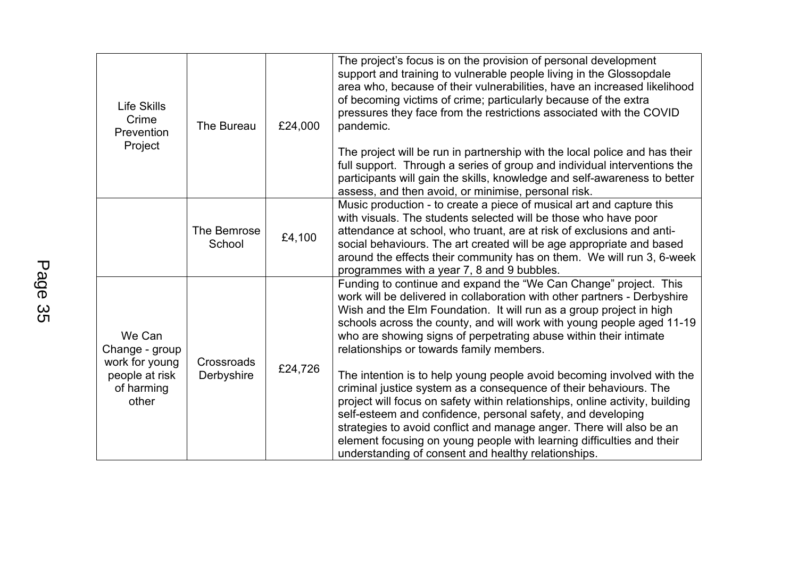| <b>Life Skills</b><br>Crime<br>Prevention<br>Project                                | The Bureau               | £24,000 | The project's focus is on the provision of personal development<br>support and training to vulnerable people living in the Glossopdale<br>area who, because of their vulnerabilities, have an increased likelihood<br>of becoming victims of crime; particularly because of the extra<br>pressures they face from the restrictions associated with the COVID<br>pandemic.<br>The project will be run in partnership with the local police and has their<br>full support. Through a series of group and individual interventions the<br>participants will gain the skills, knowledge and self-awareness to better<br>assess, and then avoid, or minimise, personal risk. |
|-------------------------------------------------------------------------------------|--------------------------|---------|-------------------------------------------------------------------------------------------------------------------------------------------------------------------------------------------------------------------------------------------------------------------------------------------------------------------------------------------------------------------------------------------------------------------------------------------------------------------------------------------------------------------------------------------------------------------------------------------------------------------------------------------------------------------------|
|                                                                                     | The Bemrose<br>School    | £4,100  | Music production - to create a piece of musical art and capture this<br>with visuals. The students selected will be those who have poor<br>attendance at school, who truant, are at risk of exclusions and anti-<br>social behaviours. The art created will be age appropriate and based<br>around the effects their community has on them. We will run 3, 6-week<br>programmes with a year 7, 8 and 9 bubbles.                                                                                                                                                                                                                                                         |
| We Can<br>Change - group<br>work for young<br>people at risk<br>of harming<br>other | Crossroads<br>Derbyshire | £24,726 | Funding to continue and expand the "We Can Change" project. This<br>work will be delivered in collaboration with other partners - Derbyshire<br>Wish and the Elm Foundation. It will run as a group project in high<br>schools across the county, and will work with young people aged 11-19<br>who are showing signs of perpetrating abuse within their intimate<br>relationships or towards family members.                                                                                                                                                                                                                                                           |
|                                                                                     |                          |         | The intention is to help young people avoid becoming involved with the<br>criminal justice system as a consequence of their behaviours. The<br>project will focus on safety within relationships, online activity, building<br>self-esteem and confidence, personal safety, and developing<br>strategies to avoid conflict and manage anger. There will also be an<br>element focusing on young people with learning difficulties and their<br>understanding of consent and healthy relationships.                                                                                                                                                                      |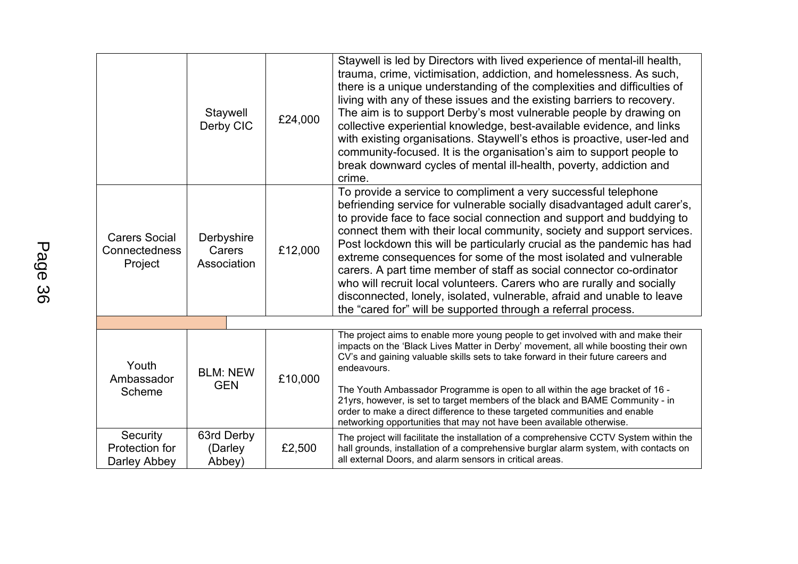|                                                  | Staywell<br>Derby CIC               | £24,000 | Staywell is led by Directors with lived experience of mental-ill health,<br>trauma, crime, victimisation, addiction, and homelessness. As such,<br>there is a unique understanding of the complexities and difficulties of<br>living with any of these issues and the existing barriers to recovery.<br>The aim is to support Derby's most vulnerable people by drawing on<br>collective experiential knowledge, best-available evidence, and links<br>with existing organisations. Staywell's ethos is proactive, user-led and<br>community-focused. It is the organisation's aim to support people to<br>break downward cycles of mental ill-health, poverty, addiction and<br>crime.                                                    |
|--------------------------------------------------|-------------------------------------|---------|--------------------------------------------------------------------------------------------------------------------------------------------------------------------------------------------------------------------------------------------------------------------------------------------------------------------------------------------------------------------------------------------------------------------------------------------------------------------------------------------------------------------------------------------------------------------------------------------------------------------------------------------------------------------------------------------------------------------------------------------|
| <b>Carers Social</b><br>Connectedness<br>Project | Derbyshire<br>Carers<br>Association | £12,000 | To provide a service to compliment a very successful telephone<br>befriending service for vulnerable socially disadvantaged adult carer's,<br>to provide face to face social connection and support and buddying to<br>connect them with their local community, society and support services.<br>Post lockdown this will be particularly crucial as the pandemic has had<br>extreme consequences for some of the most isolated and vulnerable<br>carers. A part time member of staff as social connector co-ordinator<br>who will recruit local volunteers. Carers who are rurally and socially<br>disconnected, lonely, isolated, vulnerable, afraid and unable to leave<br>the "cared for" will be supported through a referral process. |
|                                                  |                                     |         |                                                                                                                                                                                                                                                                                                                                                                                                                                                                                                                                                                                                                                                                                                                                            |
| Youth<br>Ambassador<br>Scheme                    | <b>BLM: NEW</b><br><b>GEN</b>       | £10,000 | The project aims to enable more young people to get involved with and make their<br>impacts on the 'Black Lives Matter in Derby' movement, all while boosting their own<br>CV's and gaining valuable skills sets to take forward in their future careers and<br>endeavours.<br>The Youth Ambassador Programme is open to all within the age bracket of 16 -<br>21yrs, however, is set to target members of the black and BAME Community - in<br>order to make a direct difference to these targeted communities and enable<br>networking opportunities that may not have been available otherwise.                                                                                                                                         |
| Security<br>Protection for<br>Darley Abbey       | 63rd Derby<br>(Darley<br>Abbey)     | £2,500  | The project will facilitate the installation of a comprehensive CCTV System within the<br>hall grounds, installation of a comprehensive burglar alarm system, with contacts on<br>all external Doors, and alarm sensors in critical areas.                                                                                                                                                                                                                                                                                                                                                                                                                                                                                                 |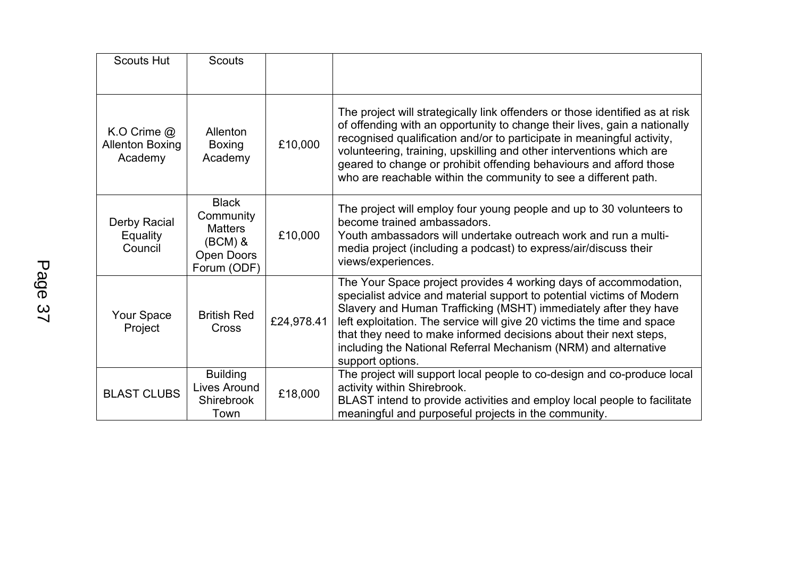| <b>Scouts Hut</b>                                  | <b>Scouts</b>                                                                         |            |                                                                                                                                                                                                                                                                                                                                                                                                                                                      |
|----------------------------------------------------|---------------------------------------------------------------------------------------|------------|------------------------------------------------------------------------------------------------------------------------------------------------------------------------------------------------------------------------------------------------------------------------------------------------------------------------------------------------------------------------------------------------------------------------------------------------------|
| K.O Crime $@$<br><b>Allenton Boxing</b><br>Academy | Allenton<br><b>Boxing</b><br>Academy                                                  | £10,000    | The project will strategically link offenders or those identified as at risk<br>of offending with an opportunity to change their lives, gain a nationally<br>recognised qualification and/or to participate in meaningful activity,<br>volunteering, training, upskilling and other interventions which are<br>geared to change or prohibit offending behaviours and afford those<br>who are reachable within the community to see a different path. |
| <b>Derby Racial</b><br><b>Equality</b><br>Council  | <b>Black</b><br>Community<br><b>Matters</b><br>$(BCM)$ &<br>Open Doors<br>Forum (ODF) | £10,000    | The project will employ four young people and up to 30 volunteers to<br>become trained ambassadors.<br>Youth ambassadors will undertake outreach work and run a multi-<br>media project (including a podcast) to express/air/discuss their<br>views/experiences.                                                                                                                                                                                     |
| Your Space<br>Project                              | <b>British Red</b><br>Cross                                                           | £24,978.41 | The Your Space project provides 4 working days of accommodation,<br>specialist advice and material support to potential victims of Modern<br>Slavery and Human Trafficking (MSHT) immediately after they have<br>left exploitation. The service will give 20 victims the time and space<br>that they need to make informed decisions about their next steps,<br>including the National Referral Mechanism (NRM) and alternative<br>support options.  |
| <b>BLAST CLUBS</b>                                 | <b>Building</b><br>Lives Around<br><b>Shirebrook</b><br>Town                          | £18,000    | The project will support local people to co-design and co-produce local<br>activity within Shirebrook.<br>BLAST intend to provide activities and employ local people to facilitate<br>meaningful and purposeful projects in the community.                                                                                                                                                                                                           |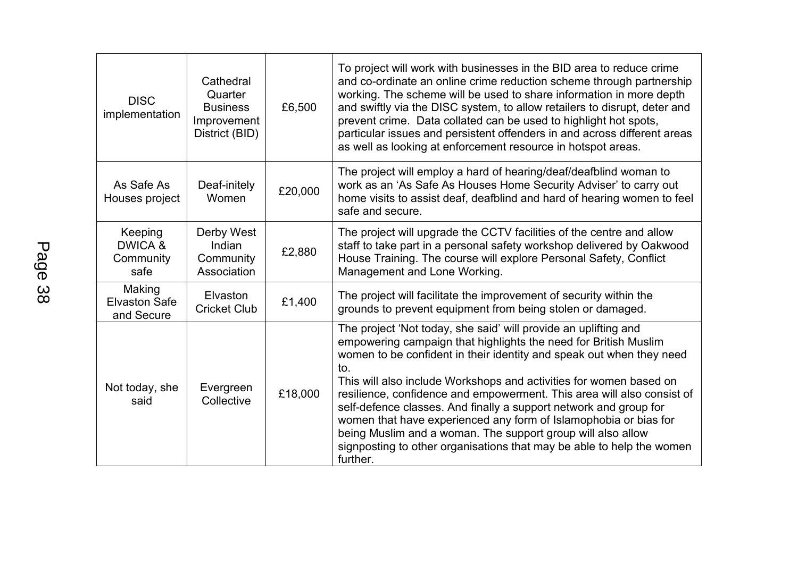| <b>DISC</b><br>implementation                | Cathedral<br>Quarter<br><b>Business</b><br>Improvement<br>District (BID) | £6,500  | To project will work with businesses in the BID area to reduce crime<br>and co-ordinate an online crime reduction scheme through partnership<br>working. The scheme will be used to share information in more depth<br>and swiftly via the DISC system, to allow retailers to disrupt, deter and<br>prevent crime. Data collated can be used to highlight hot spots,<br>particular issues and persistent offenders in and across different areas<br>as well as looking at enforcement resource in hotspot areas.                                                                                                                                               |
|----------------------------------------------|--------------------------------------------------------------------------|---------|----------------------------------------------------------------------------------------------------------------------------------------------------------------------------------------------------------------------------------------------------------------------------------------------------------------------------------------------------------------------------------------------------------------------------------------------------------------------------------------------------------------------------------------------------------------------------------------------------------------------------------------------------------------|
| As Safe As<br>Houses project                 | Deaf-initely<br>Women                                                    | £20,000 | The project will employ a hard of hearing/deaf/deafblind woman to<br>work as an 'As Safe As Houses Home Security Adviser' to carry out<br>home visits to assist deaf, deafblind and hard of hearing women to feel<br>safe and secure.                                                                                                                                                                                                                                                                                                                                                                                                                          |
| Keeping<br>DWICA &<br>Community<br>safe      | Derby West<br>Indian<br>Community<br>Association                         | £2,880  | The project will upgrade the CCTV facilities of the centre and allow<br>staff to take part in a personal safety workshop delivered by Oakwood<br>House Training. The course will explore Personal Safety, Conflict<br>Management and Lone Working.                                                                                                                                                                                                                                                                                                                                                                                                             |
| Making<br><b>Elvaston Safe</b><br>and Secure | Elvaston<br><b>Cricket Club</b>                                          | £1,400  | The project will facilitate the improvement of security within the<br>grounds to prevent equipment from being stolen or damaged.                                                                                                                                                                                                                                                                                                                                                                                                                                                                                                                               |
| Not today, she<br>said                       | Evergreen<br>Collective                                                  | £18,000 | The project 'Not today, she said' will provide an uplifting and<br>empowering campaign that highlights the need for British Muslim<br>women to be confident in their identity and speak out when they need<br>to.<br>This will also include Workshops and activities for women based on<br>resilience, confidence and empowerment. This area will also consist of<br>self-defence classes. And finally a support network and group for<br>women that have experienced any form of Islamophobia or bias for<br>being Muslim and a woman. The support group will also allow<br>signposting to other organisations that may be able to help the women<br>further. |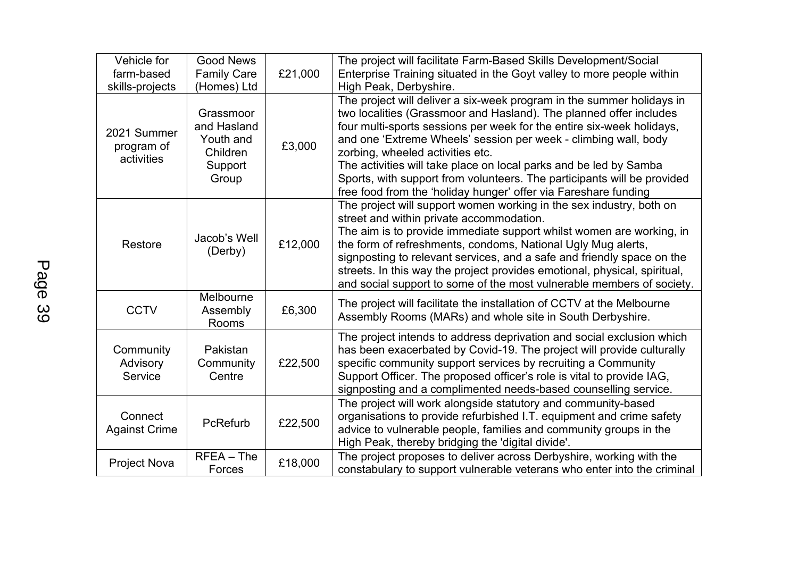| Vehicle for<br>farm-based               | <b>Good News</b><br><b>Family Care</b>                                | £21,000 | The project will facilitate Farm-Based Skills Development/Social<br>Enterprise Training situated in the Goyt valley to more people within                                                                                                                                                                                                                                                                                                                                                                                                      |
|-----------------------------------------|-----------------------------------------------------------------------|---------|------------------------------------------------------------------------------------------------------------------------------------------------------------------------------------------------------------------------------------------------------------------------------------------------------------------------------------------------------------------------------------------------------------------------------------------------------------------------------------------------------------------------------------------------|
| skills-projects                         | (Homes) Ltd                                                           |         | High Peak, Derbyshire.                                                                                                                                                                                                                                                                                                                                                                                                                                                                                                                         |
| 2021 Summer<br>program of<br>activities | Grassmoor<br>and Hasland<br>Youth and<br>Children<br>Support<br>Group | £3,000  | The project will deliver a six-week program in the summer holidays in<br>two localities (Grassmoor and Hasland). The planned offer includes<br>four multi-sports sessions per week for the entire six-week holidays,<br>and one 'Extreme Wheels' session per week - climbing wall, body<br>zorbing, wheeled activities etc.<br>The activities will take place on local parks and be led by Samba<br>Sports, with support from volunteers. The participants will be provided<br>free food from the 'holiday hunger' offer via Fareshare funding |
| Restore                                 | Jacob's Well<br>(Derby)                                               | £12,000 | The project will support women working in the sex industry, both on<br>street and within private accommodation.<br>The aim is to provide immediate support whilst women are working, in<br>the form of refreshments, condoms, National Ugly Mug alerts,<br>signposting to relevant services, and a safe and friendly space on the<br>streets. In this way the project provides emotional, physical, spiritual,<br>and social support to some of the most vulnerable members of society.                                                        |
| <b>CCTV</b>                             | Melbourne<br>Assembly<br>Rooms                                        | £6,300  | The project will facilitate the installation of CCTV at the Melbourne<br>Assembly Rooms (MARs) and whole site in South Derbyshire.                                                                                                                                                                                                                                                                                                                                                                                                             |
| Community<br>Advisory<br>Service        | Pakistan<br>Community<br>Centre                                       | £22,500 | The project intends to address deprivation and social exclusion which<br>has been exacerbated by Covid-19. The project will provide culturally<br>specific community support services by recruiting a Community<br>Support Officer. The proposed officer's role is vital to provide IAG,<br>signposting and a complimented needs-based counselling service.                                                                                                                                                                                    |
| Connect<br><b>Against Crime</b>         | PcRefurb                                                              | £22,500 | The project will work alongside statutory and community-based<br>organisations to provide refurbished I.T. equipment and crime safety<br>advice to vulnerable people, families and community groups in the<br>High Peak, thereby bridging the 'digital divide'.                                                                                                                                                                                                                                                                                |
| <b>Project Nova</b>                     | $RFEA - The$<br>Forces                                                | £18,000 | The project proposes to deliver across Derbyshire, working with the<br>constabulary to support vulnerable veterans who enter into the criminal                                                                                                                                                                                                                                                                                                                                                                                                 |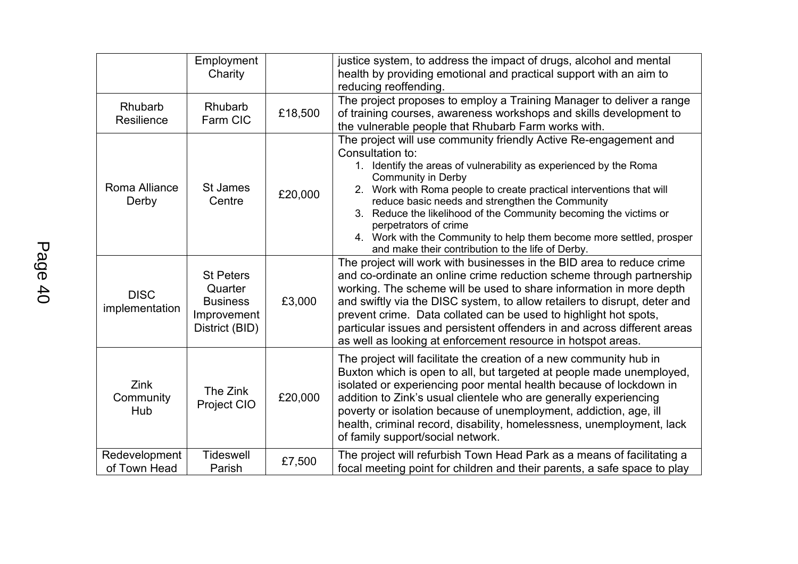|                               | Employment<br>Charity                                                           |         | justice system, to address the impact of drugs, alcohol and mental<br>health by providing emotional and practical support with an aim to<br>reducing reoffending.                                                                                                                                                                                                                                                                                                                                                                            |
|-------------------------------|---------------------------------------------------------------------------------|---------|----------------------------------------------------------------------------------------------------------------------------------------------------------------------------------------------------------------------------------------------------------------------------------------------------------------------------------------------------------------------------------------------------------------------------------------------------------------------------------------------------------------------------------------------|
| Rhubarb<br>Resilience         | Rhubarb<br>Farm CIC                                                             | £18,500 | The project proposes to employ a Training Manager to deliver a range<br>of training courses, awareness workshops and skills development to<br>the vulnerable people that Rhubarb Farm works with.                                                                                                                                                                                                                                                                                                                                            |
| Roma Alliance<br>Derby        | St James<br>Centre                                                              | £20,000 | The project will use community friendly Active Re-engagement and<br>Consultation to:<br>1. Identify the areas of vulnerability as experienced by the Roma<br><b>Community in Derby</b><br>2. Work with Roma people to create practical interventions that will<br>reduce basic needs and strengthen the Community<br>3. Reduce the likelihood of the Community becoming the victims or<br>perpetrators of crime<br>4. Work with the Community to help them become more settled, prosper<br>and make their contribution to the life of Derby. |
| <b>DISC</b><br>implementation | <b>St Peters</b><br>Quarter<br><b>Business</b><br>Improvement<br>District (BID) | £3,000  | The project will work with businesses in the BID area to reduce crime<br>and co-ordinate an online crime reduction scheme through partnership<br>working. The scheme will be used to share information in more depth<br>and swiftly via the DISC system, to allow retailers to disrupt, deter and<br>prevent crime. Data collated can be used to highlight hot spots,<br>particular issues and persistent offenders in and across different areas<br>as well as looking at enforcement resource in hotspot areas.                            |
| Zink<br>Community<br>Hub      | The Zink<br>Project CIO                                                         | £20,000 | The project will facilitate the creation of a new community hub in<br>Buxton which is open to all, but targeted at people made unemployed,<br>isolated or experiencing poor mental health because of lockdown in<br>addition to Zink's usual clientele who are generally experiencing<br>poverty or isolation because of unemployment, addiction, age, ill<br>health, criminal record, disability, homelessness, unemployment, lack<br>of family support/social network.                                                                     |
| Redevelopment<br>of Town Head | <b>Tideswell</b><br>Parish                                                      | £7,500  | The project will refurbish Town Head Park as a means of facilitating a<br>focal meeting point for children and their parents, a safe space to play                                                                                                                                                                                                                                                                                                                                                                                           |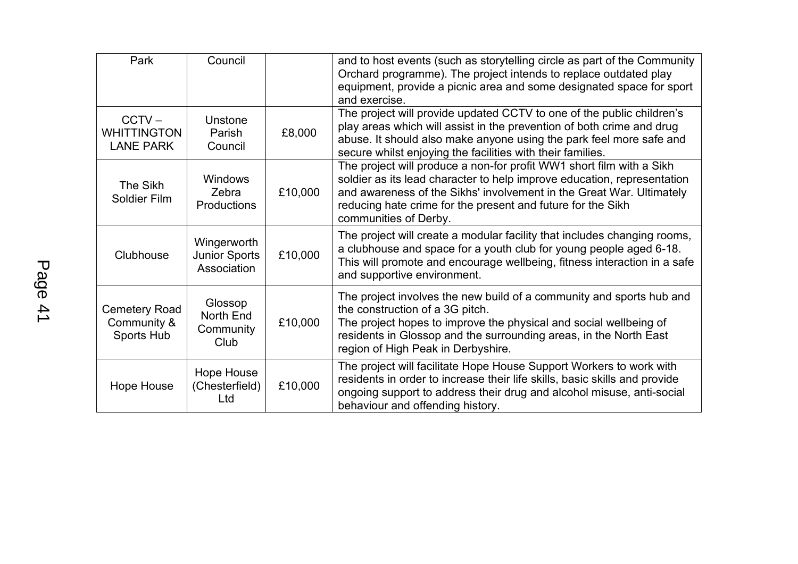| Park                                               | Council                                            |         | and to host events (such as storytelling circle as part of the Community<br>Orchard programme). The project intends to replace outdated play<br>equipment, provide a picnic area and some designated space for sport<br>and exercise.                                                                           |
|----------------------------------------------------|----------------------------------------------------|---------|-----------------------------------------------------------------------------------------------------------------------------------------------------------------------------------------------------------------------------------------------------------------------------------------------------------------|
| $CCTV -$<br><b>WHITTINGTON</b><br><b>LANE PARK</b> | Unstone<br>Parish<br>Council                       | £8,000  | The project will provide updated CCTV to one of the public children's<br>play areas which will assist in the prevention of both crime and drug<br>abuse. It should also make anyone using the park feel more safe and<br>secure whilst enjoying the facilities with their families.                             |
| The Sikh<br><b>Soldier Film</b>                    | Windows<br>Zebra<br>Productions                    | £10,000 | The project will produce a non-for profit WW1 short film with a Sikh<br>soldier as its lead character to help improve education, representation<br>and awareness of the Sikhs' involvement in the Great War. Ultimately<br>reducing hate crime for the present and future for the Sikh<br>communities of Derby. |
| Clubhouse                                          | Wingerworth<br><b>Junior Sports</b><br>Association | £10,000 | The project will create a modular facility that includes changing rooms,<br>a clubhouse and space for a youth club for young people aged 6-18.<br>This will promote and encourage wellbeing, fitness interaction in a safe<br>and supportive environment.                                                       |
| <b>Cemetery Road</b><br>Community &<br>Sports Hub  | Glossop<br>North End<br>Community<br>Club          | £10,000 | The project involves the new build of a community and sports hub and<br>the construction of a 3G pitch.<br>The project hopes to improve the physical and social wellbeing of<br>residents in Glossop and the surrounding areas, in the North East<br>region of High Peak in Derbyshire.                         |
| Hope House                                         | Hope House<br>(Chesterfield)<br>Ltd                | £10,000 | The project will facilitate Hope House Support Workers to work with<br>residents in order to increase their life skills, basic skills and provide<br>ongoing support to address their drug and alcohol misuse, anti-social<br>behaviour and offending history.                                                  |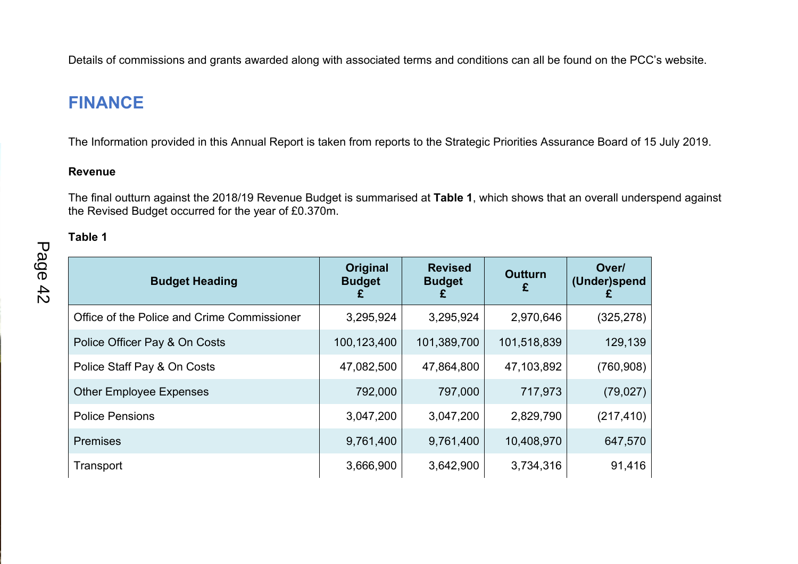Details of commissions and grants awarded along with associated terms and conditions can all be found on the PCC's website.

### **FINANCE**

The Information provided in this Annual Report is taken from reports to the Strategic Priorities Assurance Board of 15 July 2019.

#### **Revenue**

The final outturn against the 2018/19 Revenue Budget is summarised at **Table 1**, which shows that an overall underspend against the Revised Budget occurred for the year of £0.370m.

### **Table 1**

| <b>Budget Heading</b>                       | <b>Original</b><br><b>Budget</b><br>£ | <b>Revised</b><br><b>Budget</b> | <b>Outturn</b><br>£ | Over/<br>(Under)spend |
|---------------------------------------------|---------------------------------------|---------------------------------|---------------------|-----------------------|
| Office of the Police and Crime Commissioner | 3,295,924                             | 3,295,924                       | 2,970,646           | (325, 278)            |
| Police Officer Pay & On Costs               | 100,123,400                           | 101,389,700                     | 101,518,839         | 129,139               |
| Police Staff Pay & On Costs                 | 47,082,500                            | 47,864,800                      | 47,103,892          | (760, 908)            |
| <b>Other Employee Expenses</b>              | 792,000                               | 797,000                         | 717,973             | (79, 027)             |
| <b>Police Pensions</b>                      | 3,047,200                             | 3,047,200                       | 2,829,790           | (217, 410)            |
| <b>Premises</b>                             | 9,761,400                             | 9,761,400                       | 10,408,970          | 647,570               |
| Transport                                   | 3,666,900                             | 3,642,900                       | 3,734,316           | 91,416                |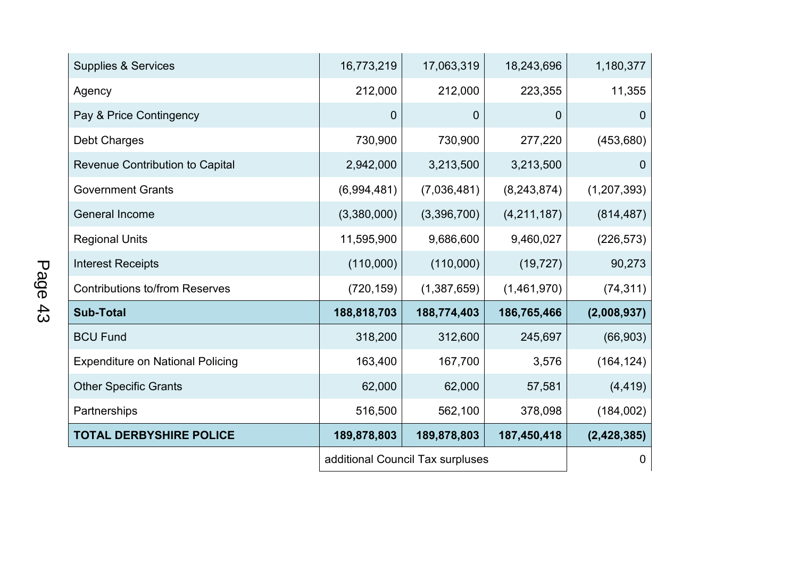| <b>Supplies &amp; Services</b>          | 16,773,219                       | 17,063,319       | 18,243,696  | 1,180,377     |
|-----------------------------------------|----------------------------------|------------------|-------------|---------------|
| Agency                                  | 212,000                          | 212,000          | 223,355     | 11,355        |
| Pay & Price Contingency                 | 0                                | 0                | 0           | 0             |
| <b>Debt Charges</b>                     | 730,900                          | 730,900          | 277,220     | (453, 680)    |
| Revenue Contribution to Capital         | 2,942,000                        | 3,213,500        | 3,213,500   | $\mathbf 0$   |
| <b>Government Grants</b>                | (6,994,481)                      | (7,036,481)      | (8,243,874) | (1, 207, 393) |
| <b>General Income</b>                   | (3,380,000)                      | (3,396,700)      | (4,211,187) | (814, 487)    |
| <b>Regional Units</b>                   | 11,595,900                       | 9,686,600        | 9,460,027   | (226, 573)    |
| <b>Interest Receipts</b>                | (110,000)                        | (110,000)        | (19, 727)   | 90,273        |
| <b>Contributions to/from Reserves</b>   | (720, 159)                       | (1,387,659)      | (1,461,970) | (74, 311)     |
| <b>Sub-Total</b>                        | 188,818,703                      | 188,774,403      | 186,765,466 | (2,008,937)   |
| <b>BCU Fund</b>                         | 318,200                          | 312,600          | 245,697     | (66, 903)     |
| <b>Expenditure on National Policing</b> | 163,400                          | 167,700          | 3,576       | (164, 124)    |
| <b>Other Specific Grants</b>            | 62,000                           | 62,000           | 57,581      | (4, 419)      |
| Partnerships                            | 516,500                          | 562,100          | 378,098     | (184,002)     |
| <b>TOTAL DERBYSHIRE POLICE</b>          | 189,878,803                      | 189,878,803      | 187,450,418 | (2,428,385)   |
|                                         | additional Council Tax surpluses | $\boldsymbol{0}$ |             |               |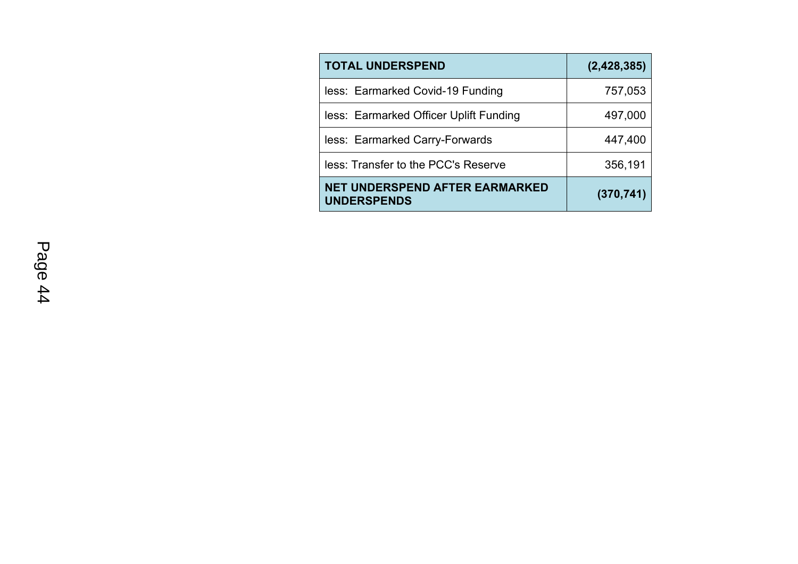| <b>TOTAL UNDERSPEND</b>                                     | (2,428,385) |
|-------------------------------------------------------------|-------------|
| less: Earmarked Covid-19 Funding                            | 757,053     |
| less: Earmarked Officer Uplift Funding                      | 497,000     |
| less: Earmarked Carry-Forwards                              | 447,400     |
| less: Transfer to the PCC's Reserve                         | 356,191     |
| <b>NET UNDERSPEND AFTER EARMARKED</b><br><b>UNDERSPENDS</b> | (370, 741)  |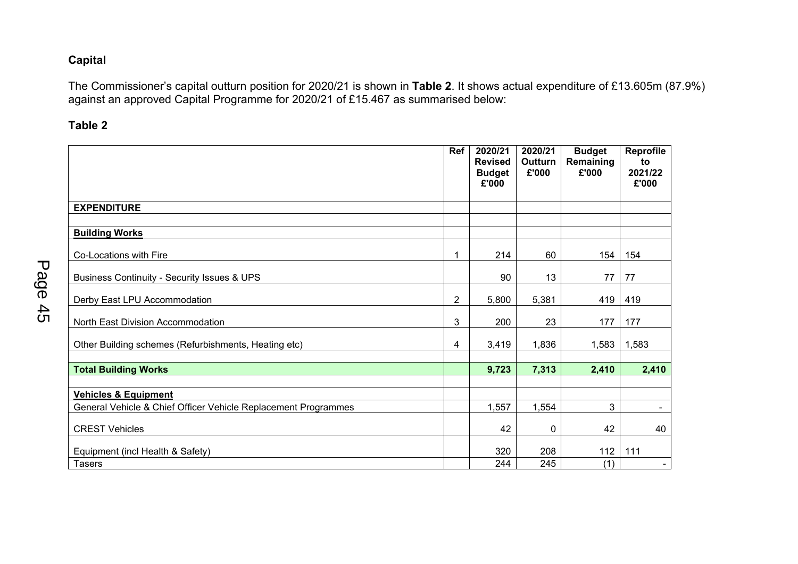#### **Capital**

The Commissioner's capital outturn position for 2020/21 is shown in **Table 2**. It shows actual expenditure of £13.605m (87.9%) against an approved Capital Programme for 2020/21 of £15.467 as summarised below:

**Table 2**

|                                                                | Ref            | 2020/21<br><b>Revised</b><br><b>Budget</b><br>£'000 | 2020/21<br>Outturn<br>£'000 | <b>Budget</b><br>Remaining<br>£'000 | Reprofile<br>to<br>2021/22<br>£'000 |
|----------------------------------------------------------------|----------------|-----------------------------------------------------|-----------------------------|-------------------------------------|-------------------------------------|
| <b>EXPENDITURE</b>                                             |                |                                                     |                             |                                     |                                     |
|                                                                |                |                                                     |                             |                                     |                                     |
| <b>Building Works</b>                                          |                |                                                     |                             |                                     |                                     |
| Co-Locations with Fire                                         | 1              | 214                                                 | 60                          | 154                                 | 154                                 |
| Business Continuity - Security Issues & UPS                    |                | 90                                                  | 13                          | 77                                  | 77                                  |
| Derby East LPU Accommodation                                   | $\overline{2}$ | 5,800                                               | 5,381                       | 419                                 | 419                                 |
| North East Division Accommodation                              | 3              | 200                                                 | 23                          | 177                                 | 177                                 |
| Other Building schemes (Refurbishments, Heating etc)           | 4              | 3,419                                               | 1,836                       | 1,583                               | 1,583                               |
| <b>Total Building Works</b>                                    |                | 9,723                                               | 7,313                       | 2,410                               | 2,410                               |
|                                                                |                |                                                     |                             |                                     |                                     |
| <b>Vehicles &amp; Equipment</b>                                |                |                                                     |                             |                                     |                                     |
| General Vehicle & Chief Officer Vehicle Replacement Programmes |                | 1,557                                               | 1,554                       | 3                                   | $\blacksquare$                      |
| <b>CREST Vehicles</b>                                          |                | 42                                                  | 0                           | 42                                  | 40                                  |
| Equipment (incl Health & Safety)                               |                | 320                                                 | 208                         | 112                                 | 111                                 |
| <b>Tasers</b>                                                  |                | 244                                                 | 245                         | (1)                                 | $\sim$                              |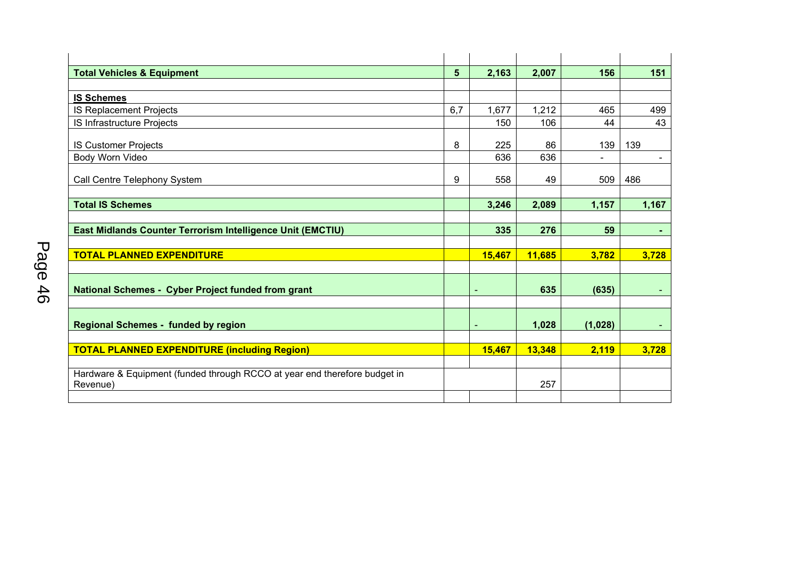| <b>Total Vehicles &amp; Equipment</b>                                                 | $5\phantom{1}$ | 2,163  | 2,007  | 156            | 151            |
|---------------------------------------------------------------------------------------|----------------|--------|--------|----------------|----------------|
|                                                                                       |                |        |        |                |                |
| <b>IS Schemes</b>                                                                     |                |        |        |                |                |
| IS Replacement Projects                                                               | 6,7            | 1,677  | 1,212  | 465            | 499            |
| IS Infrastructure Projects                                                            |                | 150    | 106    | 44             | 43             |
| <b>IS Customer Projects</b>                                                           | 8              | 225    | 86     | 139            | 139            |
| Body Worn Video                                                                       |                | 636    | 636    | $\blacksquare$ | $\blacksquare$ |
| Call Centre Telephony System                                                          | 9              | 558    | 49     | 509            | 486            |
| <b>Total IS Schemes</b>                                                               |                | 3,246  | 2,089  | 1,157          | 1,167          |
|                                                                                       |                |        |        |                |                |
| East Midlands Counter Terrorism Intelligence Unit (EMCTIU)                            |                | 335    | 276    | 59             | $\sim$         |
|                                                                                       |                |        |        |                |                |
| <b>TOTAL PLANNED EXPENDITURE</b>                                                      |                | 15,467 | 11,685 | 3,782          | 3,728          |
|                                                                                       |                |        |        |                |                |
| <b>National Schemes - Cyber Project funded from grant</b>                             |                | ٠      | 635    | (635)          |                |
|                                                                                       |                |        |        |                |                |
| <b>Regional Schemes - funded by region</b>                                            |                | ٠      | 1,028  | (1,028)        | ٠              |
|                                                                                       |                |        |        |                |                |
| <b>TOTAL PLANNED EXPENDITURE (including Region)</b>                                   |                | 15,467 | 13,348 | 2,119          | 3,728          |
|                                                                                       |                |        |        |                |                |
| Hardware & Equipment (funded through RCCO at year end therefore budget in<br>Revenue) |                |        | 257    |                |                |
|                                                                                       |                |        |        |                |                |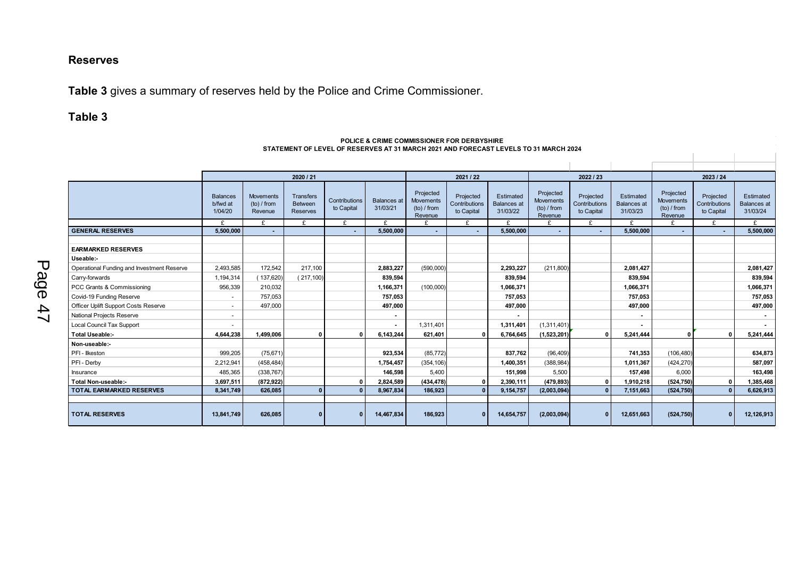#### **Reserves**

**Table 3** gives a summary of reserves held by the Police and Crime Commissioner.

#### **Table 3**

#### Balances b/fwd at 1/04/20 Movements (to) / from Revenue **Transfers** Between Reserves **Contributions** to Capital Balances at 31/03/21 Projected **Movements** (to) / from Revenue Projected **Contributions** to Capital Estimated Balances at 31/03/22 Projected Movements (to) / from Revenue Projected **Contributions** to Capital **Estimated** Balances at 31/03/23 Projected **Movements** (to) / from **Revenue**  Projected **Contributions** to Capital **Estimated** Balances at 31/03/24 £ £ £ £ £ £ £ £ £ £ £ £ £ £ GENERAL RESERVES | 5,500,000 | - | - | 5,500,000 | | - | 5,500,000 | - | 5,500,000 | - | 5,500,000 | - | 5,500,000 | - | 5,500,000 | - | 5,500,000 | - | 5,500,000 | - | **EARMARKED RESERVES Useable:-** Operational Funding and Investment Reserve 2,493,585 172,542 217,100 **2,883,227** (590,000) **2,293,227** (211,800) **2,081,427 2,081,427**  Carry-forwards 1,194,314 | ( 217,100) | 839,**594 | 839,594** | 839,594 | 839,594 | PCC Grants & Commissioning 956,339 | 210,032 | 1,**166,371 | 1,066,371** | 1,**066,371** | 1,0**66,371** | 1,066,371 | 1,066 Covid-19 Funding Reserve 757,053 **757,053 757,053** 7**57,053** Officer Uplift Support Costs Reserve - 497,000 **497,000 497,000 497,000 497,000** National Projects Reserve - **- - - -**  Local Council Tax Support - **-** 1,311,401 **1,311,401** (1,311,401) **- - Total Useable:- 4,644,238 1,499,006 0 0 6,143,244 621,401 0 6,764,645 (1,523,201) 0 5,241,444 0 0 5,241,444 Non-useable:-** PFI - Ilkeston 999,205 (75,671) **923,534** (85,772) **837,762** (96,409) **741,353** (106,480) **634,873**  PFI - Derby 2,212,941 (458,484) **1,754,457** (354,106) **1,400,351** (388,984) **1,011,367** (424,270) **587,097**  Insurance 485,365 (338,767) **146,598** 5,400 **151,998** 5,500 **157,498** 6,000 **163,498 Total Non-useable:- 3,697,511 (872,922) 0 2,824,589 (434,478) 0 2,390,111 (479,893) 0 1,910,218 (524,750) 0 1,385,468 TOTAL EARMARKED RESERVES 8,341,749 626,085 0 0 8,967,834 186,923 0 9,154,757 (2,003,094) 0 7,151,663 (524,750) 0 6,626,913 TOTAL RESERVES 13,841,749 626,085 0 0 14,467,834 186,923 0 14,654,757 (2,003,094) 0 12,651,663 (524,750) 0 12,126,913 2020 / 21 2021 / 22 2022 / 23 2023 / 24**

#### **POLICE & CRIME COMMISSIONER FOR DERBYSHIRE STATEMENT OF LEVEL OF RESERVES AT 31 MARCH 2021 AND FORECAST LEVELS TO 31 MARCH 2024**